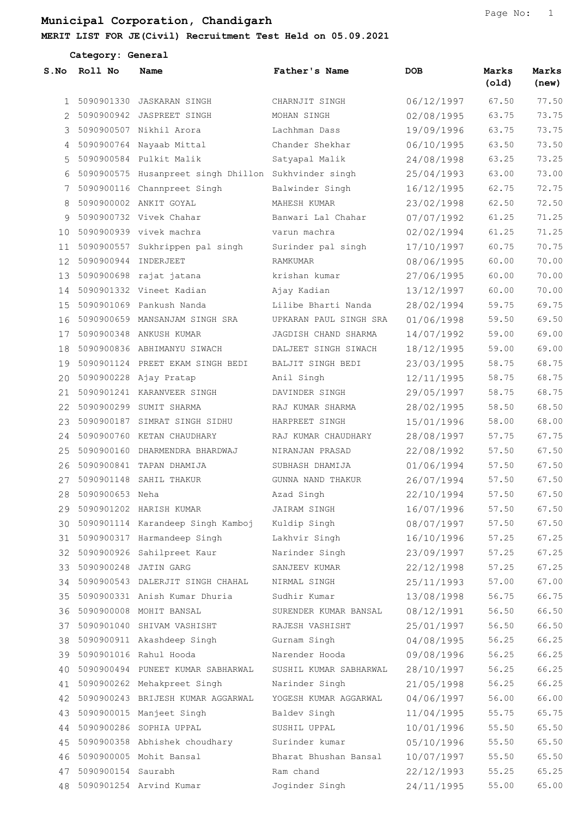Category: General

| S.No         | Roll No                 | Name                                                 | Father's Name          | DOB        | Marks<br>(old) | Marks<br>(new) |
|--------------|-------------------------|------------------------------------------------------|------------------------|------------|----------------|----------------|
| $\mathbf{1}$ |                         | 5090901330 JASKARAN SINGH                            | CHARNJIT SINGH         | 06/12/1997 | 67.50          | 77.50          |
|              |                         | 2 5090900942 JASPREET SINGH                          | MOHAN SINGH            | 02/08/1995 | 63.75          | 73.75          |
| 3            |                         | 5090900507 Nikhil Arora                              | Lachhman Dass          | 19/09/1996 | 63.75          | 73.75          |
|              |                         | 4 5090900764 Nayaab Mittal                           | Chander Shekhar        | 06/10/1995 | 63.50          | 73.50          |
| 5.           |                         | 5090900584 Pulkit Malik                              | Satyapal Malik         | 24/08/1998 | 63.25          | 73.25          |
| 6            |                         | 5090900575 Husanpreet singh Dhillon Sukhvinder singh |                        | 25/04/1993 | 63.00          | 73.00          |
| 7            |                         | 5090900116 Channpreet Singh                          | Balwinder Singh        | 16/12/1995 | 62.75          | 72.75          |
| 8            |                         | 5090900002 ANKIT GOYAL                               | MAHESH KUMAR           | 23/02/1998 | 62.50          | 72.50          |
| 9            |                         | 5090900732 Vivek Chahar                              | Banwari Lal Chahar     | 07/07/1992 | 61.25          | 71.25          |
| 10           |                         | 5090900939 vivek machra                              | varun machra           | 02/02/1994 | 61.25          | 71.25          |
| 11           |                         | 5090900557 Sukhrippen pal singh                      | Surinder pal singh     | 17/10/1997 | 60.75          | 70.75          |
|              | 12 5090900944 INDERJEET |                                                      | RAMKUMAR               | 08/06/1995 | 60.00          | 70.00          |
| 13           |                         | 5090900698 rajat jatana                              | krishan kumar          | 27/06/1995 | 60.00          | 70.00          |
|              |                         | 14 5090901332 Vineet Kadian                          | Ajay Kadian            | 13/12/1997 | 60.00          | 70.00          |
| 15           |                         | 5090901069 Pankush Nanda                             | Lilibe Bharti Nanda    | 28/02/1994 | 59.75          | 69.75          |
| 16           |                         | 5090900659 MANSANJAM SINGH SRA                       | UPKARAN PAUL SINGH SRA | 01/06/1998 | 59.50          | 69.50          |
| 17           |                         | 5090900348 ANKUSH KUMAR                              | JAGDISH CHAND SHARMA   | 14/07/1992 | 59.00          | 69.00          |
| 18           |                         | 5090900836 ABHIMANYU SIWACH                          | DALJEET SINGH SIWACH   | 18/12/1995 | 59.00          | 69.00          |
| 19           |                         | 5090901124 PREET EKAM SINGH BEDI                     | BALJIT SINGH BEDI      | 23/03/1995 | 58.75          | 68.75          |
| 20           |                         | 5090900228 Ajay Pratap                               | Anil Singh             | 12/11/1995 | 58.75          | 68.75          |
| 21           |                         | 5090901241 KARANVEER SINGH                           | DAVINDER SINGH         | 29/05/1997 | 58.75          | 68.75          |
|              |                         | 22 5090900299 SUMIT SHARMA                           | RAJ KUMAR SHARMA       | 28/02/1995 | 58.50          | 68.50          |
| 23           |                         | 5090900187 SIMRAT SINGH SIDHU                        | HARPREET SINGH         | 15/01/1996 | 58.00          | 68.00          |
| 24           |                         | 5090900760 KETAN CHAUDHARY                           | RAJ KUMAR CHAUDHARY    | 28/08/1997 | 57.75          | 67.75          |
| 25           |                         | 5090900160 DHARMENDRA BHARDWAJ                       | NIRANJAN PRASAD        | 22/08/1992 | 57.50          | 67.50          |
| 26           |                         | 5090900841 TAPAN DHAMIJA                             | SUBHASH DHAMIJA        | 01/06/1994 | 57.50          | 67.50          |
| 27           |                         | 5090901148 SAHIL THAKUR                              | GUNNA NAND THAKUR      | 26/07/1994 | 57.50          | 67.50          |
| 28           | 5090900653 Neha         |                                                      | Azad Singh             | 22/10/1994 | 57.50          | 67.50          |
|              |                         | 29 5090901202 HARISH KUMAR                           | JAIRAM SINGH           | 16/07/1996 | 57.50          | 67.50          |
| 30           |                         | 5090901114 Karandeep Singh Kamboj                    | Kuldip Singh           | 08/07/1997 | 57.50          | 67.50          |
| 31           |                         | 5090900317 Harmandeep Singh                          | Lakhvir Singh          | 16/10/1996 | 57.25          | 67.25          |
|              |                         | 32 5090900926 Sahilpreet Kaur                        | Narinder Singh         | 23/09/1997 | 57.25          | 67.25          |
| 33           |                         | 5090900248 JATIN GARG                                | SANJEEV KUMAR          | 22/12/1998 | 57.25          | 67.25          |
|              |                         | 34 5090900543 DALERJIT SINGH CHAHAL                  | NIRMAL SINGH           | 25/11/1993 | 57.00          | 67.00          |
| 35           |                         | 5090900331 Anish Kumar Dhuria                        | Sudhir Kumar           | 13/08/1998 | 56.75          | 66.75          |
|              |                         | 36 5090900008 MOHIT BANSAL                           | SURENDER KUMAR BANSAL  | 08/12/1991 | 56.50          | 66.50          |
| 37           |                         | 5090901040 SHIVAM VASHISHT                           | RAJESH VASHISHT        | 25/01/1997 | 56.50          | 66.50          |
| 38           |                         | 5090900911 Akashdeep Singh                           | Gurnam Singh           | 04/08/1995 | 56.25          | 66.25          |
| 39           |                         | 5090901016 Rahul Hooda                               | Narender Hooda         | 09/08/1996 | 56.25          | 66.25          |
| 40           |                         | 5090900494 PUNEET KUMAR SABHARWAL                    | SUSHIL KUMAR SABHARWAL | 28/10/1997 | 56.25          | 66.25          |
| 41           |                         | 5090900262 Mehakpreet Singh                          | Narinder Singh         | 21/05/1998 | 56.25          | 66.25          |
| 42           |                         | 5090900243 BRIJESH KUMAR AGGARWAL                    | YOGESH KUMAR AGGARWAL  | 04/06/1997 | 56.00          | 66.00          |
| 43           |                         | 5090900015 Manjeet Singh                             | Baldev Singh           | 11/04/1995 | 55.75          | 65.75          |
| 44           |                         | 5090900286 SOPHIA UPPAL                              | SUSHIL UPPAL           | 10/01/1996 | 55.50          | 65.50          |
| 45           |                         | 5090900358 Abhishek choudhary                        | Surinder kumar         | 05/10/1996 | 55.50          | 65.50          |
| 46           |                         | 5090900005 Mohit Bansal                              | Bharat Bhushan Bansal  | 10/07/1997 | 55.50          | 65.50          |
| 47           | 5090900154 Saurabh      |                                                      | Ram chand              | 22/12/1993 | 55.25          | 65.25          |
|              |                         | 48 5090901254 Arvind Kumar                           | Joginder Singh         | 24/11/1995 | 55.00          | 65.00          |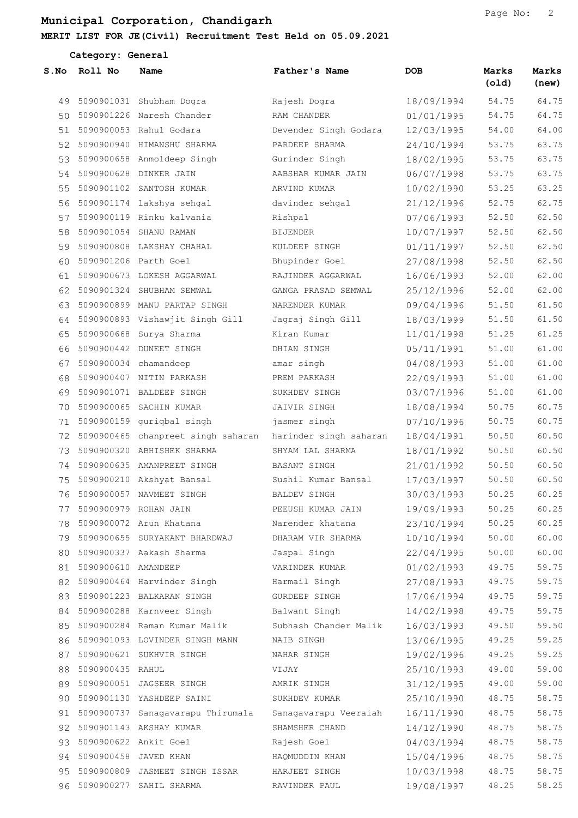| Category: General |                        |                                    |                        |            |                |                |
|-------------------|------------------------|------------------------------------|------------------------|------------|----------------|----------------|
| S.NO              | Roll No                | Name                               | Father's Name          | <b>DOB</b> | Marks<br>(old) | Marks<br>(new) |
| 49                |                        | 5090901031 Shubham Dogra           | Rajesh Dogra           | 18/09/1994 | 54.75          | 64.75          |
| 50                |                        | 5090901226 Naresh Chander          | RAM CHANDER            | 01/01/1995 | 54.75          | 64.75          |
| 51                |                        | 5090900053 Rahul Godara            | Devender Singh Godara  | 12/03/1995 | 54.00          | 64.00          |
| 52                |                        | 5090900940 HIMANSHU SHARMA         | PARDEEP SHARMA         | 24/10/1994 | 53.75          | 63.75          |
| 53                |                        | 5090900658 Anmoldeep Singh         | Gurinder Singh         | 18/02/1995 | 53.75          | 63.75          |
| 54                |                        | 5090900628 DINKER JAIN             | AABSHAR KUMAR JAIN     | 06/07/1998 | 53.75          | 63.75          |
| 55                |                        | 5090901102 SANTOSH KUMAR           | ARVIND KUMAR           | 10/02/1990 | 53.25          | 63.25          |
| 56                |                        | 5090901174 lakshya sehgal          | davinder sehgal        | 21/12/1996 | 52.75          | 62.75          |
| 57                |                        | 5090900119 Rinku kalvania          | Rishpal                | 07/06/1993 | 52.50          | 62.50          |
| 58                |                        | 5090901054 SHANU RAMAN             | BIJENDER               | 10/07/1997 | 52.50          | 62.50          |
| 59                |                        | 5090900808 LAKSHAY CHAHAL          | KULDEEP SINGH          | 01/11/1997 | 52.50          | 62.50          |
| 60                |                        | 5090901206 Parth Goel              | Bhupinder Goel         | 27/08/1998 | 52.50          | 62.50          |
| 61                |                        | 5090900673 LOKESH AGGARWAL         | RAJINDER AGGARWAL      | 16/06/1993 | 52.00          | 62.00          |
| 62                |                        | 5090901324 SHUBHAM SEMWAL          | GANGA PRASAD SEMWAL    | 25/12/1996 | 52.00          | 62.00          |
| 63                |                        | 5090900899 MANU PARTAP SINGH       | NARENDER KUMAR         | 09/04/1996 | 51.50          | 61.50          |
| 64                |                        | 5090900893 Vishawjit Singh Gill    | Jagraj Singh Gill      | 18/03/1999 | 51.50          | 61.50          |
| 65                |                        | 5090900668 Surya Sharma            | Kiran Kumar            | 11/01/1998 | 51.25          | 61.25          |
| 66                |                        | 5090900442 DUNEET SINGH            | DHIAN SINGH            | 05/11/1991 | 51.00          | 61.00          |
| 67                |                        | 5090900034 chamandeep              | amar singh             | 04/08/1993 | 51.00          | 61.00          |
| 68                |                        | 5090900407 NITIN PARKASH           | PREM PARKASH           | 22/09/1993 | 51.00          | 61.00          |
| 69                |                        | 5090901071 BALDEEP SINGH           | SUKHDEV SINGH          | 03/07/1996 | 51.00          | 61.00          |
| 70                |                        | 5090900065 SACHIN KUMAR            | JAIVIR SINGH           | 18/08/1994 | 50.75          | 60.75          |
| 71                |                        | 5090900159 guriqbal singh          | jasmer singh           | 07/10/1996 | 50.75          | 60.75          |
| 72                |                        | 5090900465 chanpreet singh saharan | harinder singh saharan | 18/04/1991 | 50.50          | 60.50          |
| 73                |                        | 5090900320 ABHISHEK SHARMA         | SHYAM LAL SHARMA       | 18/01/1992 | 50.50          | 60.50          |
| 74                |                        | 5090900635 AMANPREET SINGH         | BASANT SINGH           | 21/01/1992 | 50.50          | 60.50          |
| 75                |                        | 5090900210 Akshyat Bansal          | Sushil Kumar Bansal    | 17/03/1997 | 50.50          | 60.50          |
|                   |                        | 76 5090900057 NAVMEET SINGH        | BALDEV SINGH           | 30/03/1993 | 50.25          | 60.25          |
| 77                |                        | 5090900979 ROHAN JAIN              | PEEUSH KUMAR JAIN      | 19/09/1993 | 50.25          | 60.25          |
| 78                |                        | 5090900072 Arun Khatana            | Narender khatana       | 23/10/1994 | 50.25          | 60.25          |
|                   |                        | 79 5090900655 SURYAKANT BHARDWAJ   | DHARAM VIR SHARMA      | 10/10/1994 | 50.00          | 60.00          |
|                   |                        | 80 5090900337 Aakash Sharma        | Jaspal Singh           | 22/04/1995 | 50.00          | 60.00          |
|                   | 81 5090900610 AMANDEEP |                                    | VARINDER KUMAR         | 01/02/1993 | 49.75          | 59.75          |
| 82                |                        | 5090900464 Harvinder Singh         | Harmail Singh          | 27/08/1993 | 49.75          | 59.75          |
| 83                |                        | 5090901223 BALKARAN SINGH          | GURDEEP SINGH          | 17/06/1994 | 49.75          | 59.75          |
| 84                |                        | 5090900288 Karnveer Singh          | Balwant Singh          | 14/02/1998 | 49.75          | 59.75          |
| 85                |                        | 5090900284 Raman Kumar Malik       | Subhash Chander Malik  | 16/03/1993 | 49.50          | 59.50          |
| 86                |                        | 5090901093 LOVINDER SINGH MANN     | NAIB SINGH             | 13/06/1995 | 49.25          | 59.25          |
| 87                |                        | 5090900621 SUKHVIR SINGH           | NAHAR SINGH            | 19/02/1996 | 49.25          | 59.25          |
| 88                | 5090900435 RAHUL       |                                    | VIJAY                  | 25/10/1993 | 49.00          | 59.00          |
| 89                |                        | 5090900051 JAGSEER SINGH           | AMRIK SINGH            | 31/12/1995 | 49.00          | 59.00          |
| 90                |                        | 5090901130 YASHDEEP SAINI          | SUKHDEV KUMAR          | 25/10/1990 | 48.75          | 58.75          |
| 91                |                        | 5090900737 Sanagavarapu Thirumala  | Sanagavarapu Veeraiah  | 16/11/1990 | 48.75          | 58.75          |
| 92                |                        | 5090901143 AKSHAY KUMAR            | SHAMSHER CHAND         | 14/12/1990 | 48.75          | 58.75          |
| 93                |                        | 5090900622 Ankit Goel              | Rajesh Goel            | 04/03/1994 | 48.75          | 58.75          |
| 94                |                        | 5090900458 JAVED KHAN              | HAQMUDDIN KHAN         | 15/04/1996 | 48.75          | 58.75          |
| 95                |                        | 5090900809 JASMEET SINGH ISSAR     | HARJEET SINGH          | 10/03/1998 | 48.75          | 58.75          |
|                   |                        | 96 5090900277 SAHIL SHARMA         | RAVINDER PAUL          | 19/08/1997 | 48.25          | 58.25          |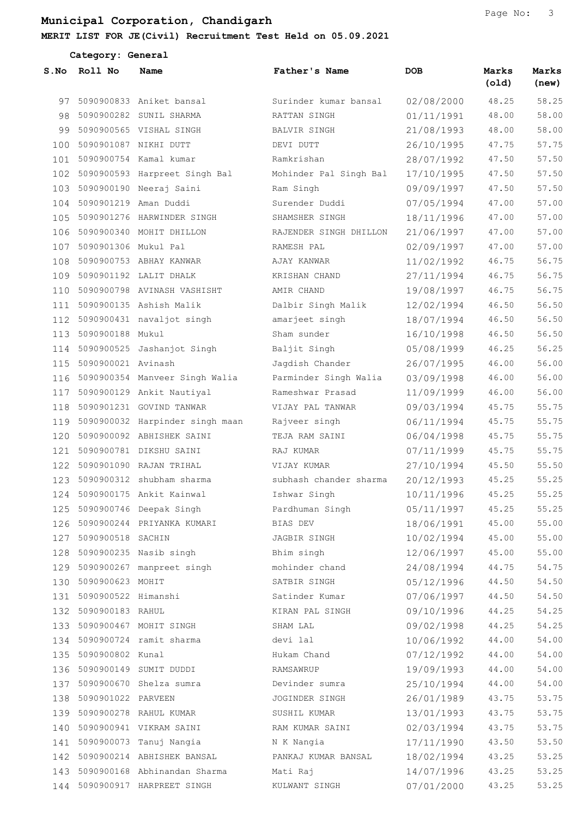Category: General

| S.No | Roll No                   | Name                                         | Father's Name                                      | DOB        | Marks<br>(old) | Marks<br>(new) |
|------|---------------------------|----------------------------------------------|----------------------------------------------------|------------|----------------|----------------|
| 97   |                           | 5090900833 Aniket bansal                     | Surinder kumar bansal                              | 02/08/2000 | 48.25          | 58.25          |
|      |                           | 98 5090900282 SUNIL SHARMA                   | RATTAN SINGH                                       | 01/11/1991 | 48.00          | 58.00          |
| 99   |                           | 5090900565 VISHAL SINGH                      | BALVIR SINGH                                       | 21/08/1993 | 48.00          | 58.00          |
| 100  |                           | 5090901087 NIKHI DUTT                        | DEVI DUTT                                          | 26/10/1995 | 47.75          | 57.75          |
| 101  |                           | 5090900754 Kamal kumar                       | Ramkrishan                                         | 28/07/1992 | 47.50          | 57.50          |
|      |                           | 102 5090900593 Harpreet Singh Bal            | Mohinder Pal Singh Bal                             | 17/10/1995 | 47.50          | 57.50          |
| 103  |                           | 5090900190 Neeraj Saini                      | Ram Singh                                          | 09/09/1997 | 47.50          | 57.50          |
|      | 104 5090901219 Aman Duddi |                                              | Surender Duddi                                     | 07/05/1994 | 47.00          | 57.00          |
| 105  |                           | 5090901276 HARWINDER SINGH                   | SHAMSHER SINGH                                     | 18/11/1996 | 47.00          | 57.00          |
|      |                           | 106 5090900340 MOHIT DHILLON                 | RAJENDER SINGH DHILLON                             | 21/06/1997 | 47.00          | 57.00          |
| 107  | 5090901306 Mukul Pal      |                                              | RAMESH PAL                                         | 02/09/1997 | 47.00          | 57.00          |
| 108  |                           | 5090900753 ABHAY KANWAR                      | AJAY KANWAR                                        | 11/02/1992 | 46.75          | 56.75          |
| 109  |                           | 5090901192 LALIT DHALK                       | KRISHAN CHAND                                      | 27/11/1994 | 46.75          | 56.75          |
| 110  |                           | 5090900798 AVINASH VASHISHT                  | AMIR CHAND                                         | 19/08/1997 | 46.75          | 56.75          |
| 111  |                           | 5090900135 Ashish Malik                      | Dalbir Singh Malik                                 | 12/02/1994 | 46.50          | 56.50          |
|      |                           | 112 5090900431 navaljot singh                | amarjeet singh                                     | 18/07/1994 | 46.50          | 56.50          |
| 113  | 5090900188 Mukul          |                                              | Sham sunder                                        | 16/10/1998 | 46.50          | 56.50          |
|      |                           | 114 5090900525 Jashanjot Singh               | Baljit Singh                                       | 05/08/1999 | 46.25          | 56.25          |
| 115  | 5090900021 Avinash        |                                              | Jagdish Chander                                    | 26/07/1995 | 46.00          | 56.00          |
|      |                           | 116 5090900354 Manveer Singh Walia           | Parminder Singh Walia                              | 03/09/1998 | 46.00          | 56.00          |
| 117  |                           | 5090900129 Ankit Nautiyal                    | Rameshwar Prasad                                   | 11/09/1999 | 46.00          | 56.00          |
|      |                           | 118 5090901231 GOVIND TANWAR                 | VIJAY PAL TANWAR                                   | 09/03/1994 | 45.75          | 55.75          |
| 119  |                           | 5090900032 Harpinder singh maan              | Rajveer singh                                      | 06/11/1994 | 45.75          | 55.75          |
| 120  |                           | 5090900092 ABHISHEK SAINI                    | TEJA RAM SAINI                                     | 06/04/1998 | 45.75          | 55.75          |
| 121  |                           | 5090900781 DIKSHU SAINI                      | RAJ KUMAR                                          | 07/11/1999 | 45.75          | 55.75          |
| 122  |                           | 5090901090 RAJAN TRIHAL                      | VIJAY KUMAR                                        | 27/10/1994 | 45.50          | 55.50          |
| 123  |                           | 5090900312 shubham sharma                    | subhash chander sharma                             | 20/12/1993 | 45.25          | 55.25          |
| 124  |                           | 5090900175 Ankit Kainwal                     | Ishwar Singh                                       | 10/11/1996 | 45.25          | 55.25          |
|      |                           |                                              | 125 5090900746 Deepak Singh Mardhuman Singh (1997) |            | 45.25          | 55.25          |
|      |                           | 126 5090900244 PRIYANKA KUMARI               | BIAS DEV                                           | 18/06/1991 | 45.00          | 55.00          |
|      | 127 5090900518 SACHIN     |                                              | JAGBIR SINGH                                       | 10/02/1994 | 45.00          | 55.00          |
|      |                           | 128 5090900235 Nasib singh                   | Bhim singh                                         | 12/06/1997 | 45.00          | 55.00          |
|      |                           | 129 5090900267 manpreet singh mohinder chand |                                                    | 24/08/1994 | 44.75          | 54.75          |
|      | 130 5090900623 MOHIT      |                                              | SATBIR SINGH                                       | 05/12/1996 | 44.50          | 54.50          |
|      | 131 5090900522 Himanshi   |                                              | Satinder Kumar                                     | 07/06/1997 | 44.50          | 54.50          |
|      | 132 5090900183 RAHUL      |                                              | KIRAN PAL SINGH                                    | 09/10/1996 | 44.25          | 54.25          |
|      |                           | 133 5090900467 MOHIT SINGH                   | SHAM LAL                                           | 09/02/1998 | 44.25          | 54.25          |
|      |                           | 134 5090900724 ramit sharma                  | devi lal                                           | 10/06/1992 | 44.00          | 54.00          |
|      | 135 5090900802 Kunal      |                                              | Hukam Chand                                        | 07/12/1992 | 44.00          | 54.00          |
|      |                           | 136 5090900149 SUMIT DUDDI                   | RAMSAWRUP                                          | 19/09/1993 | 44.00          | 54.00          |
|      |                           | 137 5090900670 Shelza sumra                  | Devinder sumra                                     | 25/10/1994 | 44.00          | $54.00\,$      |
|      | 138 5090901022 PARVEEN    |                                              | JOGINDER SINGH                                     | 26/01/1989 | 43.75          | 53.75          |
|      |                           | 139 5090900278 RAHUL KUMAR                   | SUSHIL KUMAR                                       | 13/01/1993 | 43.75          | 53.75          |
|      |                           | 140 5090900941 VIKRAM SAINI                  | RAM KUMAR SAINI                                    | 02/03/1994 | 43.75          | 53.75          |
|      |                           | 141 5090900073 Tanuj Nangia                  | N K Nangia                                         | 17/11/1990 | 43.50          | 53.50          |
|      |                           | 142 5090900214 ABHISHEK BANSAL               | PANKAJ KUMAR BANSAL                                | 18/02/1994 | 43.25          | 53.25          |
|      |                           | 143 5090900168 Abhinandan Sharma             | Mati Raj                                           | 14/07/1996 | 43.25          | 53.25          |
|      |                           | 144 5090900917 HARPREET SINGH                | KULWANT SINGH                                      | 07/01/2000 | 43.25          | 53.25          |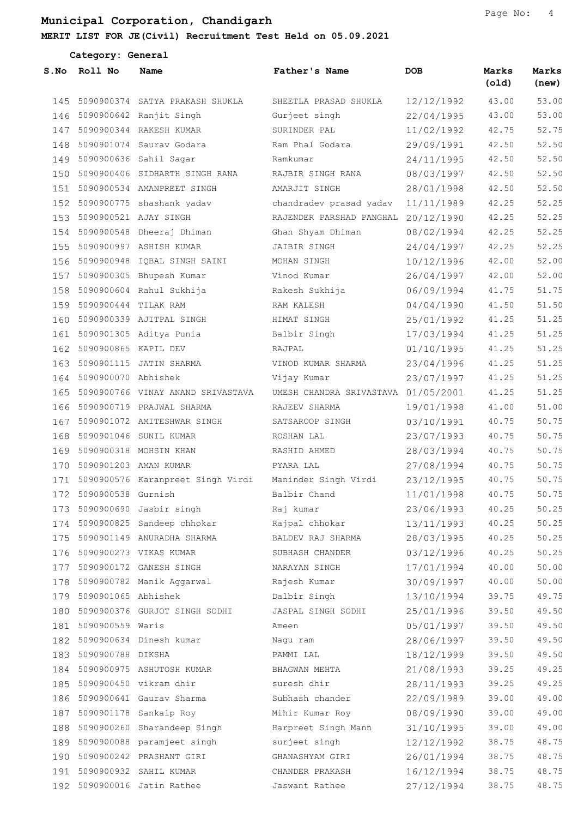|     | Category: General        |                                    |                                     |            |                |                |  |
|-----|--------------------------|------------------------------------|-------------------------------------|------------|----------------|----------------|--|
|     | S.No Roll No             | Name                               | Father's Name                       | <b>DOB</b> | Marks<br>(old) | Marks<br>(new) |  |
| 145 |                          | 5090900374 SATYA PRAKASH SHUKLA    | SHEETLA PRASAD SHUKLA               | 12/12/1992 | 43.00          | 53.00          |  |
|     |                          | 146 5090900642 Ranjit Singh        | Gurjeet singh                       | 22/04/1995 | 43.00          | 53.00          |  |
| 147 |                          | 5090900344 RAKESH KUMAR            | SURINDER PAL                        | 11/02/1992 | 42.75          | 52.75          |  |
| 148 |                          | 5090901074 Saurav Godara           | Ram Phal Godara                     | 29/09/1991 | 42.50          | 52.50          |  |
| 149 |                          | 5090900636 Sahil Sagar             | Ramkumar                            | 24/11/1995 | 42.50          | 52.50          |  |
|     |                          | 150 5090900406 SIDHARTH SINGH RANA | RAJBIR SINGH RANA                   | 08/03/1997 | 42.50          | 52.50          |  |
| 151 |                          | 5090900534 AMANPREET SINGH         | AMARJIT SINGH                       | 28/01/1998 | 42.50          | 52.50          |  |
| 152 |                          | 5090900775 shashank yadav          | chandradev prasad yadav             | 11/11/1989 | 42.25          | 52.25          |  |
| 153 |                          | 5090900521 AJAY SINGH              | RAJENDER PARSHAD PANGHAL 20/12/1990 |            | 42.25          | 52.25          |  |
|     |                          | 154 5090900548 Dheeraj Dhiman      | Ghan Shyam Dhiman                   | 08/02/1994 | 42.25          | 52.25          |  |
| 155 |                          | 5090900997 ASHISH KUMAR            | <b>JAIBIR SINGH</b>                 | 24/04/1997 | 42.25          | 52.25          |  |
| 156 |                          | 5090900948 IQBAL SINGH SAINI       | MOHAN SINGH                         | 10/12/1996 | 42.00          | 52.00          |  |
| 157 |                          | 5090900305 Bhupesh Kumar           | Vinod Kumar                         | 26/04/1997 | 42.00          | 52.00          |  |
|     |                          | 158 5090900604 Rahul Sukhija       | Rakesh Sukhija                      | 06/09/1994 | 41.75          | 51.75          |  |
|     | 159 5090900444 TILAK RAM |                                    | RAM KALESH                          | 04/04/1990 | 41.50          | 51.50          |  |
| 160 |                          | 5090900339 AJITPAL SINGH           | HIMAT SINGH                         | 25/01/1992 | 41.25          | 51.25          |  |
| 161 |                          | 5090901305 Aditya Punia            | Balbir Singh                        | 17/03/1994 | 41.25          | 51.25          |  |
|     | 162 5090900865 KAPIL DEV |                                    | RAJPAL                              | 01/10/1995 | 41.25          | 51.25          |  |
| 163 |                          | 5090901115 JATIN SHARMA            | VINOD KUMAR SHARMA                  | 23/04/1996 | 41.25          | 51.25          |  |
| 164 | 5090900070 Abhishek      |                                    | Vijay Kumar                         | 23/07/1997 | 41.25          | 51.25          |  |
| 165 |                          | 5090900766 VINAY ANAND SRIVASTAVA  | UMESH CHANDRA SRIVASTAVA 01/05/2001 |            | 41.25          | 51.25          |  |
|     |                          | 166 5090900719 PRAJWAL SHARMA      | RAJEEV SHARMA                       | 19/01/1998 | 41.00          | 51.00          |  |
| 167 |                          | 5090901072 AMITESHWAR SINGH        | SATSAROOP SINGH                     | 03/10/1991 | 40.75          | 50.75          |  |
| 168 |                          | 5090901046 SUNIL KUMAR             | ROSHAN LAL                          | 23/07/1993 | 40.75          | 50.75          |  |
| 169 |                          | 5090900318 MOHSIN KHAN             | RASHID AHMED                        | 28/03/1994 | 40.75          | 50.75          |  |
| 170 | 5090901203 AMAN KUMAR    |                                    | PYARA LAL                           | 27/08/1994 | 40.75          | 50.75          |  |
| 171 |                          | 5090900576 Karanpreet Singh Virdi  | Maninder Singh Virdi                | 23/12/1995 | 40.75          | 50.75          |  |
| 172 | 5090900538 Gurnish       |                                    | Balbir Chand                        | 11/01/1998 | 40.75          | 50.75          |  |
|     |                          | 173 5090900690 Jasbir singh        | Raj kumar                           | 23/06/1993 | 40.25          | 50.25          |  |
|     |                          | 174 5090900825 Sandeep chhokar     | Rajpal chhokar                      | 13/11/1993 | 40.25          | 50.25          |  |
| 175 |                          | 5090901149 ANURADHA SHARMA         | BALDEV RAJ SHARMA                   | 28/03/1995 | 40.25          | 50.25          |  |
|     |                          | 176 5090900273 VIKAS KUMAR         | SUBHASH CHANDER                     | 03/12/1996 | 40.25          | 50.25          |  |
| 177 |                          | 5090900172 GANESH SINGH            | NARAYAN SINGH                       | 17/01/1994 | 40.00          | 50.00          |  |
|     |                          | 178 5090900782 Manik Aggarwal      | Rajesh Kumar                        | 30/09/1997 | 40.00          | 50.00          |  |
| 179 | 5090901065 Abhishek      |                                    | Dalbir Singh                        | 13/10/1994 | 39.75          | 49.75          |  |
|     |                          | 180 5090900376 GURJOT SINGH SODHI  | JASPAL SINGH SODHI                  | 25/01/1996 | 39.50          | 49.50          |  |
|     | 181 5090900559 Waris     |                                    | Ameen                               | 05/01/1997 | 39.50          | 49.50          |  |
| 182 |                          | 5090900634 Dinesh kumar            | Nagu ram                            | 28/06/1997 | 39.50          | 49.50          |  |
| 183 | 5090900788 DIKSHA        |                                    | PAMMI LAL                           | 18/12/1999 | 39.50          | 49.50          |  |
|     |                          | 184 5090900975 ASHUTOSH KUMAR      | BHAGWAN MEHTA                       | 21/08/1993 | 39.25          | 49.25          |  |
| 185 |                          | 5090900450 vikram dhir             | suresh dhir                         | 28/11/1993 | 39.25          | 49.25          |  |
|     |                          | 186 5090900641 Gaurav Sharma       | Subhash chander                     | 22/09/1989 | 39.00          | 49.00          |  |
| 187 |                          | 5090901178 Sankalp Roy             | Mihir Kumar Roy                     | 08/09/1990 | 39.00          | 49.00          |  |
|     |                          | 188 5090900260 Sharandeep Singh    | Harpreet Singh Mann                 | 31/10/1995 | 39.00          | 49.00          |  |
|     |                          | 189 5090900088 paramjeet singh     | surjeet singh                       | 12/12/1992 | 38.75          | 48.75          |  |
|     |                          | 190 5090900242 PRASHANT GIRI       | GHANASHYAM GIRI                     | 26/01/1994 | 38.75          | 48.75          |  |
| 191 |                          | 5090900932 SAHIL KUMAR             | CHANDER PRAKASH                     | 16/12/1994 | 38.75          | 48.75          |  |
|     |                          | 192 5090900016 Jatin Rathee        | Jaswant Rathee                      | 27/12/1994 | 38.75          | 48.75          |  |
|     |                          |                                    |                                     |            |                |                |  |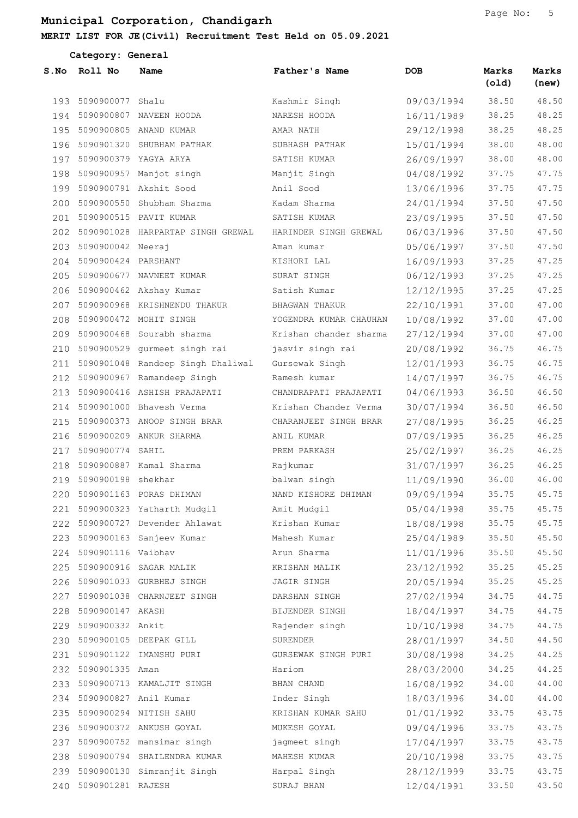|      | Category: General         |                                   |                        |            |                |                |
|------|---------------------------|-----------------------------------|------------------------|------------|----------------|----------------|
| S.No | Roll No                   | Name                              | Father's Name          | DOB        | Marks<br>(old) | Marks<br>(new) |
| 193  | 5090900077                | Shalu                             | Kashmir Singh          | 09/03/1994 | 38.50          | 48.50          |
| 194  |                           | 5090900807 NAVEEN HOODA           | NARESH HOODA           | 16/11/1989 | 38.25          | 48.25          |
| 195  |                           | 5090900805 ANAND KUMAR            | AMAR NATH              | 29/12/1998 | 38.25          | 48.25          |
| 196  |                           | 5090901320 SHUBHAM PATHAK         | SUBHASH PATHAK         | 15/01/1994 | 38.00          | 48.00          |
| 197  |                           | 5090900379 YAGYA ARYA             | SATISH KUMAR           | 26/09/1997 | 38.00          | 48.00          |
| 198  |                           | 5090900957 Manjot singh           | Manjit Singh           | 04/08/1992 | 37.75          | 47.75          |
| 199  |                           | 5090900791 Akshit Sood            | Anil Sood              | 13/06/1996 | 37.75          | 47.75          |
| 200  |                           | 5090900550 Shubham Sharma         | Kadam Sharma           | 24/01/1994 | 37.50          | 47.50          |
| 201  |                           | 5090900515 PAVIT KUMAR            | SATISH KUMAR           | 23/09/1995 | 37.50          | 47.50          |
| 202  |                           | 5090901028 HARPARTAP SINGH GREWAL | HARINDER SINGH GREWAL  | 06/03/1996 | 37.50          | 47.50          |
| 203  | 5090900042 Neeraj         |                                   | Aman kumar             | 05/06/1997 | 37.50          | 47.50          |
| 204  | 5090900424 PARSHANT       |                                   | KISHORI LAL            | 16/09/1993 | 37.25          | 47.25          |
| 205  |                           | 5090900677 NAVNEET KUMAR          | SURAT SINGH            | 06/12/1993 | 37.25          | 47.25          |
| 206  |                           | 5090900462 Akshay Kumar           | Satish Kumar           | 12/12/1995 | 37.25          | 47.25          |
| 207  |                           | 5090900968 KRISHNENDU THAKUR      | BHAGWAN THAKUR         | 22/10/1991 | 37.00          | 47.00          |
| 208  |                           | 5090900472 MOHIT SINGH            | YOGENDRA KUMAR CHAUHAN | 10/08/1992 | 37.00          | 47.00          |
| 209  |                           | 5090900468 Sourabh sharma         | Krishan chander sharma | 27/12/1994 | 37.00          | 47.00          |
| 210  |                           | 5090900529 gurmeet singh rai      | jasvir singh rai       | 20/08/1992 | 36.75          | 46.75          |
| 211  |                           | 5090901048 Randeep Singh Dhaliwal | Gursewak Singh         | 12/01/1993 | 36.75          | 46.75          |
| 212  |                           | 5090900967 Ramandeep Singh        | Ramesh kumar           | 14/07/1997 | 36.75          | 46.75          |
| 213  |                           | 5090900416 ASHISH PRAJAPATI       | CHANDRAPATI PRAJAPATI  | 04/06/1993 | 36.50          | 46.50          |
| 214  |                           | 5090901000 Bhavesh Verma          | Krishan Chander Verma  | 30/07/1994 | 36.50          | 46.50          |
| 215  |                           | 5090900373 ANOOP SINGH BRAR       | CHARANJEET SINGH BRAR  | 27/08/1995 | 36.25          | 46.25          |
| 216  |                           | 5090900209 ANKUR SHARMA           | ANIL KUMAR             | 07/09/1995 | 36.25          | 46.25          |
| 217  | 5090900774 SAHIL          |                                   | PREM PARKASH           | 25/02/1997 | 36.25          | 46.25          |
| 218  |                           | 5090900887 Kamal Sharma           | Rajkumar               | 31/07/1997 | 36.25          | 46.25          |
| 219  | 5090900198 shekhar        |                                   | balwan singh           | 11/09/1990 | 36.00          | 46.00          |
|      |                           | 220 5090901163 PORAS DHIMAN       | NAND KISHORE DHIMAN    | 09/09/1994 | 35.75          | 45.75          |
|      |                           | 221 5090900323 Yatharth Mudgil    | Amit Mudgil            | 05/04/1998 | 35.75          | 45.75          |
|      |                           | 222 5090900727 Devender Ahlawat   | Krishan Kumar          | 18/08/1998 | 35.75          | 45.75          |
|      |                           | 223 5090900163 Sanjeev Kumar      | Mahesh Kumar           | 25/04/1989 | 35.50          | 45.50          |
|      | 224 5090901116 Vaibhav    |                                   | Arun Sharma            | 11/01/1996 | 35.50          | 45.50          |
|      |                           | 225 5090900916 SAGAR MALIK        | KRISHAN MALIK          | 23/12/1992 | 35.25          | 45.25          |
|      |                           | 226 5090901033 GURBHEJ SINGH      | JAGIR SINGH            | 20/05/1994 | 35.25          | 45.25          |
| 227  |                           | 5090901038 CHARNJEET SINGH        | DARSHAN SINGH          | 27/02/1994 | 34.75          | 44.75          |
|      | 228 5090900147 AKASH      |                                   | BIJENDER SINGH         | 18/04/1997 | 34.75          | 44.75          |
|      | 229 5090900332 Ankit      |                                   | Rajender singh         | 10/10/1998 | 34.75          | 44.75          |
|      |                           | 230 5090900105 DEEPAK GILL        | SURENDER               | 28/01/1997 | 34.50          | 44.50          |
|      |                           | 231 5090901122 IMANSHU PURI       | GURSEWAK SINGH PURI    | 30/08/1998 | 34.25          | 44.25          |
|      | 232 5090901335 Aman       |                                   | Hariom                 | 28/03/2000 | 34.25          | 44.25          |
|      |                           | 233 5090900713 KAMALJIT SINGH     | BHAN CHAND             | 16/08/1992 | 34.00          | 44.00          |
|      | 234 5090900827 Anil Kumar |                                   | Inder Singh            | 18/03/1996 | 34.00          | 44.00          |
| 235  |                           | 5090900294 NITISH SAHU            | KRISHAN KUMAR SAHU     | 01/01/1992 | 33.75          | 43.75          |
|      |                           | 236 5090900372 ANKUSH GOYAL       | MUKESH GOYAL           | 09/04/1996 | 33.75          | 43.75          |
|      |                           | 237 5090900752 mansimar singh     | jagmeet singh          | 17/04/1997 | 33.75          | 43.75          |
|      |                           | 238 5090900794 SHAILENDRA KUMAR   | MAHESH KUMAR           | 20/10/1998 | 33.75          | 43.75          |
|      |                           | 239 5090900130 Simranjit Singh    | Harpal Singh           | 28/12/1999 | 33.75          | 43.75          |
|      | 240 5090901281 RAJESH     |                                   | SURAJ BHAN             | 12/04/1991 | 33.50          | 43.50          |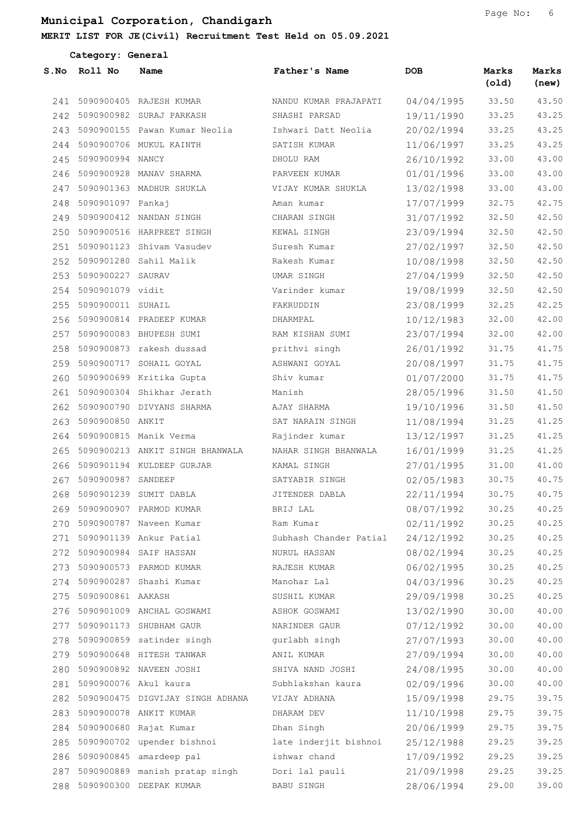|      | Category: General         |                                      |                        |            |                |                |
|------|---------------------------|--------------------------------------|------------------------|------------|----------------|----------------|
| S.No | Roll No                   | Name                                 | Father's Name          | <b>DOB</b> | Marks<br>(old) | Marks<br>(new) |
| 241  |                           | 5090900405 RAJESH KUMAR              | NANDU KUMAR PRAJAPATI  | 04/04/1995 | 33.50          | 43.50          |
|      |                           | 242 5090900982 SURAJ PARKASH         | SHASHI PARSAD          | 19/11/1990 | 33.25          | 43.25          |
| 243  |                           | 5090900155 Pawan Kumar Neolia        | Ishwari Datt Neolia    | 20/02/1994 | 33.25          | 43.25          |
| 244  |                           | 5090900706 MUKUL KAINTH              | SATISH KUMAR           | 11/06/1997 | 33.25          | 43.25          |
| 245  | 5090900994 NANCY          |                                      | DHOLU RAM              | 26/10/1992 | 33.00          | 43.00          |
| 246  |                           | 5090900928 MANAV SHARMA              | PARVEEN KUMAR          | 01/01/1996 | 33.00          | 43.00          |
| 247  |                           | 5090901363 MADHUR SHUKLA             | VIJAY KUMAR SHUKLA     | 13/02/1998 | 33.00          | 43.00          |
| 248  | 5090901097 Pankaj         |                                      | Aman kumar             | 17/07/1999 | 32.75          | 42.75          |
| 249  |                           | 5090900412 NANDAN SINGH              | CHARAN SINGH           | 31/07/1992 | 32.50          | 42.50          |
|      |                           | 250 5090900516 HARPREET SINGH        | KEWAL SINGH            | 23/09/1994 | 32.50          | 42.50          |
| 251  |                           | 5090901123 Shivam Vasudev            | Suresh Kumar           | 27/02/1997 | 32.50          | 42.50          |
| 252  |                           | 5090901280 Sahil Malik               | Rakesh Kumar           | 10/08/1998 | 32.50          | 42.50          |
| 253  | 5090900227 SAURAV         |                                      | UMAR SINGH             | 27/04/1999 | 32.50          | 42.50          |
|      | 254 5090901079 vidit      |                                      | Varinder kumar         | 19/08/1999 | 32.50          | 42.50          |
| 255  | 5090900011 SUHAIL         |                                      | FAKRUDDIN              | 23/08/1999 | 32.25          | 42.25          |
| 256  |                           | 5090900814 PRADEEP KUMAR             | DHARMPAL               | 10/12/1983 | 32.00          | 42.00          |
| 257  |                           | 5090900083 BHUPESH SUMI              | RAM KISHAN SUMI        | 23/07/1994 | 32.00          | 42.00          |
| 258  |                           | 5090900873 rakesh dussad             | prithvi singh          | 26/01/1992 | 31.75          | 41.75          |
| 259  |                           | 5090900717 SOHAIL GOYAL              | ASHWANI GOYAL          | 20/08/1997 | 31.75          | 41.75          |
| 260  |                           | 5090900699 Kritika Gupta             | Shiv kumar             | 01/07/2000 | 31.75          | 41.75          |
| 261  |                           | 5090900304 Shikhar Jerath            | Manish                 | 28/05/1996 | 31.50          | 41.50          |
| 262  |                           | 5090900790 DIVYANS SHARMA            | AJAY SHARMA            | 19/10/1996 | 31.50          | 41.50          |
| 263  | 5090900850 ANKIT          |                                      | SAT NARAIN SINGH       | 11/08/1994 | 31.25          | 41.25          |
| 264  |                           | 5090900815 Manik Verma               | Rajinder kumar         | 13/12/1997 | 31.25          | 41.25          |
| 265  |                           | 5090900213 ANKIT SINGH BHANWALA      | NAHAR SINGH BHANWALA   | 16/01/1999 | 31.25          | 41.25          |
| 266  |                           | 5090901194 KULDEEP GURJAR            | KAMAL SINGH            | 27/01/1995 | 31.00          | 41.00          |
| 267  | 5090900987 SANDEEP        |                                      | SATYABIR SINGH         | 02/05/1983 | 30.75          | 40.75          |
|      |                           | 268 5090901239 SUMIT DABLA           | JITENDER DABLA         | 22/11/1994 | 30.75          | 40.75          |
|      |                           | 269 5090900907 PARMOD KUMAR          | BRIJ LAL               | 08/07/1992 | 30.25          | 40.25          |
|      |                           | 270 5090900787 Naveen Kumar          | Ram Kumar              | 02/11/1992 | 30.25          | 40.25          |
| 271  |                           | 5090901139 Ankur Patial              | Subhash Chander Patial | 24/12/1992 | 30.25          | 40.25          |
|      |                           | 272 5090900984 SAIF HASSAN           | NURUL HASSAN           | 08/02/1994 | 30.25          | 40.25          |
|      |                           | 273 5090900573 PARMOD KUMAR          | RAJESH KUMAR           | 06/02/1995 | 30.25          | 40.25          |
|      |                           | 274 5090900287 Shashi Kumar          | Manohar Lal            | 04/03/1996 | 30.25          | 40.25          |
| 275  | 5090900861 AAKASH         |                                      | SUSHIL KUMAR           | 29/09/1998 | 30.25          | 40.25          |
|      |                           | 276 5090901009 ANCHAL GOSWAMI        | ASHOK GOSWAMI          | 13/02/1990 | 30.00          | 40.00          |
|      |                           | 277 5090901173 SHUBHAM GAUR          | NARINDER GAUR          | 07/12/1992 | 30.00          | 40.00          |
|      |                           | 278 5090900859 satinder singh        | gurlabh singh          | 27/07/1993 | 30.00          | 40.00          |
|      |                           | 279 5090900648 HITESH TANWAR         | ANIL KUMAR             | 27/09/1994 | 30.00          | 40.00          |
|      |                           | 280 5090900892 NAVEEN JOSHI          | SHIVA NAND JOSHI       | 24/08/1995 | 30.00          | 40.00          |
|      | 281 5090900076 Akul kaura |                                      | Subhlakshan kaura      | 02/09/1996 | 30.00          | 40.00          |
|      |                           | 282 5090900475 DIGVIJAY SINGH ADHANA | VIJAY ADHANA           | 15/09/1998 | 29.75          | 39.75          |
| 283  |                           | 5090900078 ANKIT KUMAR               | DHARAM DEV             | 11/10/1998 | 29.75          | 39.75          |
|      |                           | 284 5090900680 Rajat Kumar           | Dhan Singh             | 20/06/1999 | 29.75          | 39.75          |
|      |                           | 285 5090900702 upender bishnoi       | late inderjit bishnoi  | 25/12/1988 | 29.25          | 39.25          |
|      |                           | 286 5090900845 amardeep pal          | ishwar chand           | 17/09/1992 | 29.25          | 39.25          |
|      |                           | 287 5090900889 manish pratap singh   | Dori lal pauli         | 21/09/1998 | 29.25          | 39.25          |
|      |                           | 288 5090900300 DEEPAK KUMAR          | BABU SINGH             | 28/06/1994 | 29.00          | 39.00          |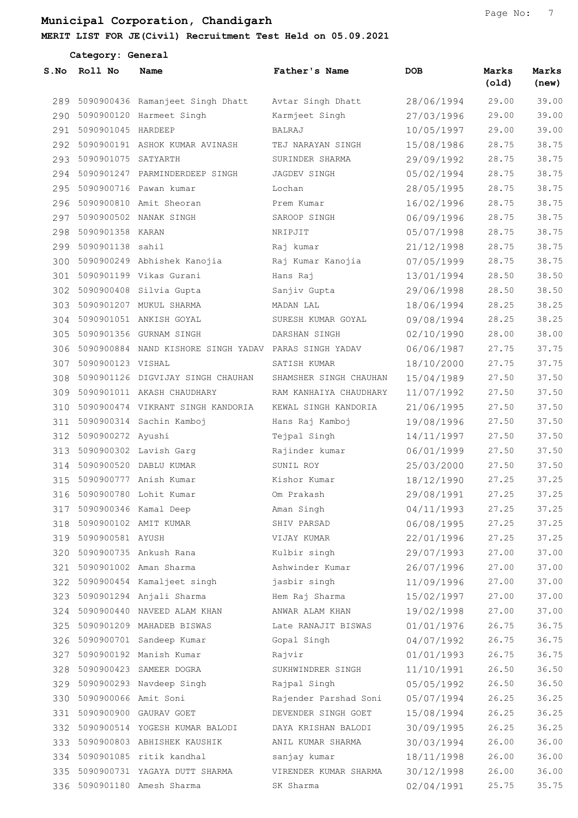|      | Category: General        |                                                           |                        |            |                |                |
|------|--------------------------|-----------------------------------------------------------|------------------------|------------|----------------|----------------|
| S.No | Roll No                  | Name                                                      | Father's Name          | <b>DOB</b> | Marks<br>(old) | Marks<br>(new) |
|      |                          | 289 5090900436 Ramanjeet Singh Dhatt                      | Avtar Singh Dhatt      | 28/06/1994 | 29.00          | 39.00          |
|      |                          | 290 5090900120 Harmeet Singh                              | Karmjeet Singh         | 27/03/1996 | 29.00          | 39.00          |
|      | 291 5090901045 HARDEEP   |                                                           | <b>BALRAJ</b>          | 10/05/1997 | 29.00          | 39.00          |
| 292  |                          | 5090900191 ASHOK KUMAR AVINASH                            | TEJ NARAYAN SINGH      | 15/08/1986 | 28.75          | 38.75          |
| 293  | 5090901075 SATYARTH      |                                                           | SURINDER SHARMA        | 29/09/1992 | 28.75          | 38.75          |
|      |                          | 294 5090901247 PARMINDERDEEP SINGH                        | JAGDEV SINGH           | 05/02/1994 | 28.75          | 38.75          |
| 295  |                          | 5090900716 Pawan kumar                                    | Lochan                 | 28/05/1995 | 28.75          | 38.75          |
| 296  |                          | 5090900810 Amit Sheoran                                   | Prem Kumar             | 16/02/1996 | 28.75          | 38.75          |
| 297  |                          | 5090900502 NANAK SINGH                                    | SAROOP SINGH           | 06/09/1996 | 28.75          | 38.75          |
| 298  | 5090901358 KARAN         |                                                           | NRIPJIT                | 05/07/1998 | 28.75          | 38.75          |
|      | 299 5090901138 sahil     |                                                           | Raj kumar              | 21/12/1998 | 28.75          | 38.75          |
|      |                          | 300 5090900249 Abhishek Kanojia                           | Raj Kumar Kanojia      | 07/05/1999 | 28.75          | 38.75          |
|      |                          | 301 5090901199 Vikas Gurani                               | Hans Raj               | 13/01/1994 | 28.50          | 38.50          |
|      |                          | 302 5090900408 Silvia Gupta                               | Sanjiv Gupta           | 29/06/1998 | 28.50          | 38.50          |
| 303  |                          | 5090901207 MUKUL SHARMA                                   | MADAN LAL              | 18/06/1994 | 28.25          | 38.25          |
| 304  |                          | 5090901051 ANKISH GOYAL                                   | SURESH KUMAR GOYAL     | 09/08/1994 | 28.25          | 38.25          |
| 305  |                          | 5090901356 GURNAM SINGH                                   | DARSHAN SINGH          | 02/10/1990 | 28.00          | 38.00          |
|      |                          | 306 5090900884 NAND KISHORE SINGH YADAV PARAS SINGH YADAV |                        | 06/06/1987 | 27.75          | 37.75          |
| 307  | 5090900123 VISHAL        |                                                           | SATISH KUMAR           | 18/10/2000 | 27.75          | 37.75          |
| 308  |                          | 5090901126 DIGVIJAY SINGH CHAUHAN                         | SHAMSHER SINGH CHAUHAN | 15/04/1989 | 27.50          | 37.50          |
|      |                          | 309 5090901011 AKASH CHAUDHARY                            | RAM KANHAIYA CHAUDHARY | 11/07/1992 | 27.50          | 37.50          |
| 310  |                          | 5090900474 VIKRANT SINGH KANDORIA                         | KEWAL SINGH KANDORIA   | 21/06/1995 | 27.50          | 37.50          |
|      |                          | 311 5090900314 Sachin Kamboj                              | Hans Raj Kamboj        | 19/08/1996 | 27.50          | 37.50          |
| 312  | 5090900272 Ayushi        |                                                           | Tejpal Singh           | 14/11/1997 | 27.50          | 37.50          |
| 313  |                          | 5090900302 Lavish Garg                                    | Rajinder kumar         | 06/01/1999 | 27.50          | 37.50          |
| 314  |                          | 5090900520 DABLU KUMAR                                    | SUNIL ROY              | 25/03/2000 | 27.50          | 37.50          |
| 315  |                          | 5090900777 Anish Kumar                                    | Kishor Kumar           | 18/12/1990 | 27.25          | 37.25          |
|      |                          | 316 5090900780 Lohit Kumar                                | Om Prakash             | 29/08/1991 | 27.25          | 37.25          |
|      |                          | 317 5090900346 Kamal Deep                                 | Aman Singh             | 04/11/1993 | 27.25          | 37.25          |
|      |                          | 318 5090900102 AMIT KUMAR                                 | SHIV PARSAD            | 06/08/1995 | 27.25          | 37.25          |
|      | 319 5090900581 AYUSH     |                                                           | VIJAY KUMAR            | 22/01/1996 | 27.25          | 37.25          |
|      |                          | 320 5090900735 Ankush Rana                                | Kulbir singh           | 29/07/1993 | 27.00          | 37.00          |
|      |                          | 321 5090901002 Aman Sharma                                | Ashwinder Kumar        | 26/07/1996 | 27.00          | 37.00          |
|      |                          | 322 5090900454 Kamaljeet singh                            | jasbir singh           | 11/09/1996 | 27.00          | 37.00          |
|      |                          | 323 5090901294 Anjali Sharma                              | Hem Raj Sharma         | 15/02/1997 | 27.00          | 37.00          |
|      |                          | 324 5090900440 NAVEED ALAM KHAN                           | ANWAR ALAM KHAN        | 19/02/1998 | 27.00          | 37.00          |
|      |                          | 325 5090901209 MAHADEB BISWAS                             | Late RANAJIT BISWAS    | 01/01/1976 | 26.75          | 36.75          |
|      |                          | 326 5090900701 Sandeep Kumar                              | Gopal Singh            | 04/07/1992 | 26.75          | 36.75          |
|      |                          | 327 5090900192 Manish Kumar                               | Rajvir                 | 01/01/1993 | 26.75          | 36.75          |
|      |                          | 328 5090900423 SAMEER DOGRA                               | SUKHWINDRER SINGH      | 11/10/1991 | 26.50          | 36.50          |
|      |                          | 329 5090900293 Navdeep Singh                              | Rajpal Singh           | 05/05/1992 | 26.50          | 36.50          |
|      | 330 5090900066 Amit Soni |                                                           | Rajender Parshad Soni  | 05/07/1994 | 26.25          | 36.25          |
|      |                          | 331 5090900900 GAURAV GOET                                | DEVENDER SINGH GOET    | 15/08/1994 | 26.25          | 36.25          |
|      |                          | 332 5090900514 YOGESH KUMAR BALODI                        | DAYA KRISHAN BALODI    | 30/09/1995 | 26.25          | 36.25          |
|      |                          | 333 5090900803 ABHISHEK KAUSHIK                           | ANIL KUMAR SHARMA      | 30/03/1994 | 26.00          | 36.00          |
|      |                          | 334 5090901085 ritik kandhal                              | sanjay kumar           | 18/11/1998 | 26.00          | 36.00          |
|      |                          | 335 5090900731 YAGAYA DUTT SHARMA                         | VIRENDER KUMAR SHARMA  | 30/12/1998 | 26.00          | 36.00          |
|      |                          | 336 5090901180 Amesh Sharma                               | SK Sharma              | 02/04/1991 | 25.75          | 35.75          |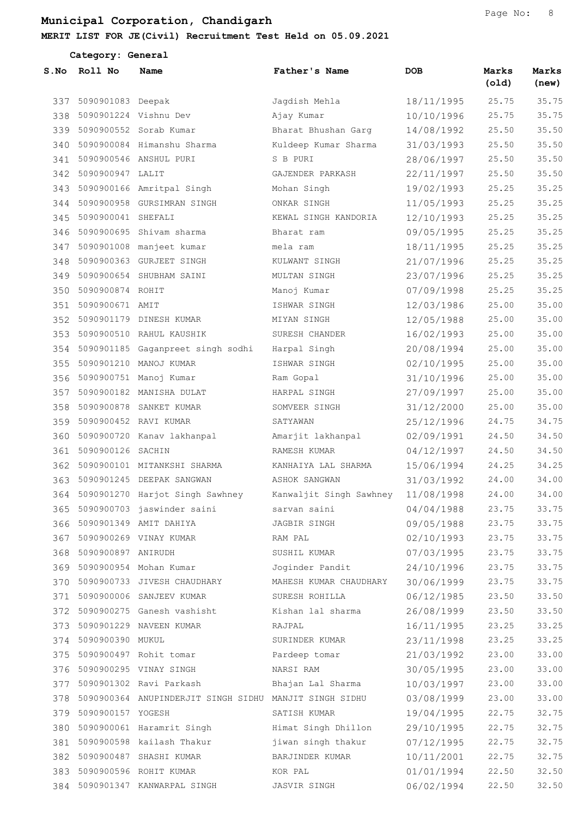|     | Category: General         |                                                                            |                            |            |                |                |
|-----|---------------------------|----------------------------------------------------------------------------|----------------------------|------------|----------------|----------------|
|     | S.No Roll No              | Name                                                                       | Father's Name              | <b>DOB</b> | Marks<br>(old) | Marks<br>(new) |
|     | 337 5090901083 Deepak     |                                                                            | Jagdish Mehla              | 18/11/1995 | 25.75          | 35.75          |
|     | 338 5090901224 Vishnu Dev |                                                                            | Ajay Kumar                 | 10/10/1996 | 25.75          | 35.75          |
|     |                           | 339 5090900552 Sorab Kumar                                                 | Bharat Bhushan Garg        | 14/08/1992 | 25.50          | 35.50          |
| 340 |                           | 5090900084 Himanshu Sharma                                                 | Kuldeep Kumar Sharma       | 31/03/1993 | 25.50          | 35.50          |
|     |                           | 341 5090900546 ANSHUL PURI                                                 | S B PURI                   | 28/06/1997 | 25.50          | 35.50          |
|     | 342 5090900947 LALIT      |                                                                            | GAJENDER PARKASH           | 22/11/1997 | 25.50          | 35.50          |
|     |                           | 343 5090900166 Amritpal Singh                                              | Mohan Singh                | 19/02/1993 | 25.25          | 35.25          |
| 344 |                           | 5090900958 GURSIMRAN SINGH                                                 | ONKAR SINGH                | 11/05/1993 | 25.25          | 35.25          |
|     | 345 5090900041 SHEFALI    |                                                                            | KEWAL SINGH KANDORIA       | 12/10/1993 | 25.25          | 35.25          |
|     |                           | 346 5090900695 Shivam sharma                                               | Bharat ram                 | 09/05/1995 | 25.25          | 35.25          |
| 347 |                           | 5090901008 manjeet kumar                                                   | mela ram                   | 18/11/1995 | 25.25          | 35.25          |
| 348 |                           | 5090900363 GURJEET SINGH                                                   | KULWANT SINGH              | 21/07/1996 | 25.25          | 35.25          |
|     |                           | 349 5090900654 SHUBHAM SAINI                                               | MULTAN SINGH               | 23/07/1996 | 25.25          | 35.25          |
| 350 | 5090900874 ROHIT          |                                                                            | Manoj Kumar                | 07/09/1998 | 25.25          | 35.25          |
| 351 | 5090900671 AMIT           |                                                                            | ISHWAR SINGH               | 12/03/1986 | 25.00          | 35.00          |
| 352 |                           | 5090901179 DINESH KUMAR                                                    | MIYAN SINGH                | 12/05/1988 | 25.00          | 35.00          |
|     |                           | 353 5090900510 RAHUL KAUSHIK                                               | SURESH CHANDER             | 16/02/1993 | 25.00          | 35.00          |
|     |                           | 354 5090901185 Gaganpreet singh sodhi                                      | Harpal Singh               | 20/08/1994 | 25.00          | 35.00          |
| 355 |                           | 5090901210 MANOJ KUMAR                                                     | ISHWAR SINGH               | 02/10/1995 | 25.00          | 35.00          |
| 356 |                           | 5090900751 Manoj Kumar                                                     | Ram Gopal                  | 31/10/1996 | 25.00          | 35.00          |
| 357 |                           | 5090900182 MANISHA DULAT                                                   | HARPAL SINGH               | 27/09/1997 | 25.00          | 35.00          |
| 358 |                           | 5090900878 SANKET KUMAR                                                    | SOMVEER SINGH              | 31/12/2000 | 25.00          | 35.00          |
|     |                           | 359 5090900452 RAVI KUMAR                                                  | SATYAWAN                   | 25/12/1996 | 24.75          | 34.75          |
| 360 |                           | 5090900720 Kanav lakhanpal                                                 | Amarjit lakhanpal          | 02/09/1991 | 24.50          | 34.50          |
| 361 | 5090900126 SACHIN         |                                                                            | RAMESH KUMAR               | 04/12/1997 | 24.50          | 34.50          |
| 362 |                           | 5090900101 MITANKSHI SHARMA                                                | KANHAIYA LAL SHARMA        | 15/06/1994 | 24.25          | 34.25          |
| 363 |                           | 5090901245 DEEPAK SANGWAN                                                  | ASHOK SANGWAN              | 31/03/1992 | 24.00          | 34.00          |
|     |                           | 364 5090901270 Harjot Singh Sawhney     Kanwaljit Singh Sawhney 11/08/1998 |                            |            | 24.00          | 34.00          |
|     |                           | 365 5090900703 jaswinder saini                                             | sarvan saini               | 04/04/1988 | 23.75          | 33.75          |
|     |                           | 366 5090901349 AMIT DAHIYA                                                 | JAGBIR SINGH               | 09/05/1988 | 23.75          | 33.75          |
|     |                           | 367 5090900269 VINAY KUMAR                                                 | RAM PAL                    | 02/10/1993 | 23.75          | 33.75          |
|     | 368 5090900897 ANIRUDH    |                                                                            | SUSHIL KUMAR               | 07/03/1995 | 23.75          | 33.75          |
|     |                           | 369 5090900954 Mohan Kumar                                                 | Joginder Pandit 24/10/1996 |            | 23.75          | 33.75          |
|     |                           | 370 5090900733 JIVESH CHAUDHARY                                            | MAHESH KUMAR CHAUDHARY     | 30/06/1999 | 23.75          | 33.75          |
|     |                           | 371 5090900006 SANJEEV KUMAR                                               | SURESH ROHILLA             | 06/12/1985 | 23.50          | 33.50          |
|     |                           | 372 5090900275 Ganesh vashisht                                             | Kishan lal sharma          | 26/08/1999 | 23.50          | 33.50          |
|     |                           | 373 5090901229 NAVEEN KUMAR                                                | RAJPAL                     | 16/11/1995 | 23.25          | 33.25          |
|     | 374 5090900390 MUKUL      |                                                                            | SURINDER KUMAR             | 23/11/1998 | 23.25          | 33.25          |
|     |                           | 375 5090900497 Rohit tomar                                                 | Pardeep tomar              | 21/03/1992 | 23.00          | 33.00          |
|     |                           | 376 5090900295 VINAY SINGH                                                 | NARSI RAM                  | 30/05/1995 | 23.00          | 33.00          |
|     |                           | 377 5090901302 Ravi Parkash                                                | Bhajan Lal Sharma          | 10/03/1997 | 23.00          | 33.00          |
|     |                           |                                                                            |                            | 03/08/1999 | 23.00          | 33.00          |
|     | 379 5090900157 YOGESH     |                                                                            | SATISH KUMAR               | 19/04/1995 | 22.75          | 32.75          |
|     |                           | 380 5090900061 Haramrit Singh                                              | Himat Singh Dhillon        | 29/10/1995 | 22.75          | 32.75          |
|     |                           | 381 5090900598 kailash Thakur                                              | jiwan singh thakur         | 07/12/1995 | 22.75          | 32.75          |
|     |                           | 382 5090900487 SHASHI KUMAR                                                | BARJINDER KUMAR            | 10/11/2001 | 22.75          | 32.75          |
|     |                           | 383 5090900596 ROHIT KUMAR                                                 | KOR PAL                    | 01/01/1994 | 22.50          | 32.50          |
|     |                           | 384 5090901347 KANWARPAL SINGH                                             | JASVIR SINGH               | 06/02/1994 | 22.50          | 32.50          |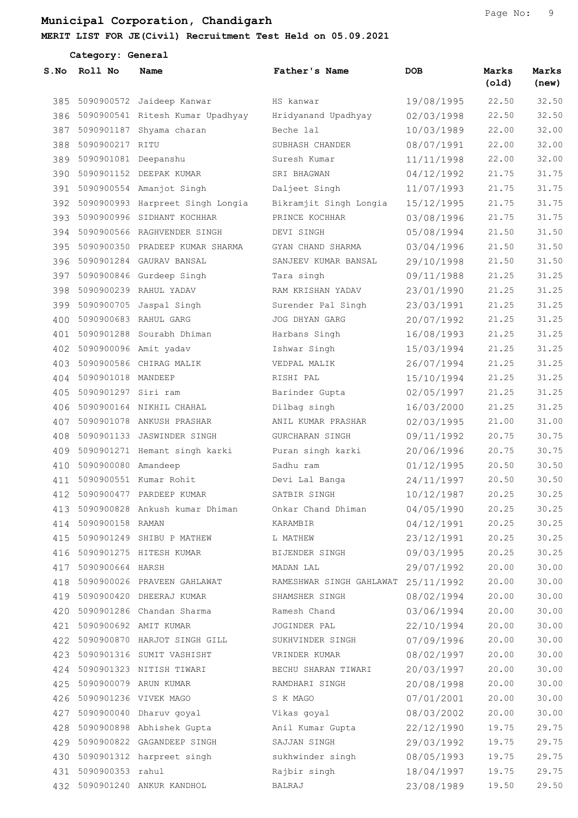#### MERIT LIST FOR JE(Civil) Recruitment Test Held on 05.09.2021

|      | Category: General         |                                      |                                                                        |            |                |                |
|------|---------------------------|--------------------------------------|------------------------------------------------------------------------|------------|----------------|----------------|
| S.NO | Roll No                   | Name                                 | Father's Name                                                          | <b>DOB</b> | Marks<br>(old) | Marks<br>(new) |
|      |                           | 385 5090900572 Jaideep Kanwar        | HS kanwar                                                              | 19/08/1995 | 22.50          | 32.50          |
|      |                           | 386 5090900541 Ritesh Kumar Upadhyay | Hridyanand Upadhyay                                                    | 02/03/1998 | 22.50          | 32.50          |
|      |                           | 387 5090901187 Shyama charan         | Beche lal                                                              | 10/03/1989 | 22.00          | 32.00          |
| 388  | 5090900217 RITU           |                                      | SUBHASH CHANDER                                                        | 08/07/1991 | 22.00          | 32.00          |
|      | 389 5090901081 Deepanshu  |                                      | Suresh Kumar                                                           | 11/11/1998 | 22.00          | 32.00          |
|      |                           | 390 5090901152 DEEPAK KUMAR          | SRI BHAGWAN                                                            | 04/12/1992 | 21.75          | 31.75          |
|      |                           | 391 5090900554 Amanjot Singh         | Daljeet Singh                                                          | 11/07/1993 | 21.75          | 31.75          |
|      |                           | 392 5090900993 Harpreet Singh Longia | Bikramjit Singh Longia                                                 | 15/12/1995 | 21.75          | 31.75          |
|      |                           | 393 5090900996 SIDHANT KOCHHAR       | PRINCE KOCHHAR                                                         | 03/08/1996 | 21.75          | 31.75          |
|      |                           | 394 5090900566 RAGHVENDER SINGH      | DEVI SINGH                                                             | 05/08/1994 | 21.50          | 31.50          |
| 395  |                           | 5090900350 PRADEEP KUMAR SHARMA      | GYAN CHAND SHARMA                                                      | 03/04/1996 | 21.50          | 31.50          |
|      |                           | 396 5090901284 GAURAV BANSAL         | SANJEEV KUMAR BANSAL                                                   | 29/10/1998 | 21.50          | 31.50          |
|      |                           | 397 5090900846 Gurdeep Singh         | Tara singh                                                             | 09/11/1988 | 21.25          | 31.25          |
|      |                           | 398 5090900239 RAHUL YADAV           | RAM KRISHAN YADAV                                                      | 23/01/1990 | 21.25          | 31.25          |
|      |                           | 399 5090900705 Jaspal Singh          | Surender Pal Singh                                                     | 23/03/1991 | 21.25          | 31.25          |
| 400  | 5090900683 RAHUL GARG     |                                      | JOG DHYAN GARG                                                         | 20/07/1992 | 21.25          | 31.25          |
|      |                           | 401 5090901288 Sourabh Dhiman        | Harbans Singh                                                          | 16/08/1993 | 21.25          | 31.25          |
|      | 402 5090900096 Amit yadav |                                      | Ishwar Singh                                                           | 15/03/1994 | 21.25          | 31.25          |
| 403  |                           | 5090900586 CHIRAG MALIK              | VEDPAL MALIK                                                           | 26/07/1994 | 21.25          | 31.25          |
|      | 404 5090901018 MANDEEP    |                                      | RISHI PAL                                                              | 15/10/1994 | 21.25          | 31.25          |
| 405  | 5090901297 Siri ram       |                                      | Barinder Gupta                                                         | 02/05/1997 | 21.25          | 31.25          |
| 406  |                           | 5090900164 NIKHIL CHAHAL             | Dilbag singh                                                           | 16/03/2000 | 21.25          | 31.25          |
| 407  |                           | 5090901078 ANKUSH PRASHAR            | ANIL KUMAR PRASHAR                                                     | 02/03/1995 | 21.00          | 31.00          |
| 408  |                           | 5090901133 JASWINDER SINGH           | GURCHARAN SINGH                                                        | 09/11/1992 | 20.75          | 30.75          |
|      |                           | 409 5090901271 Hemant singh karki    | Puran singh karki                                                      | 20/06/1996 | 20.75          | 30.75          |
|      | 410 5090900080 Amandeep   |                                      | Sadhu ram                                                              | 01/12/1995 | 20.50          | 30.50          |
| 411  |                           | 5090900551 Kumar Rohit               | Devi Lal Banga                                                         | 24/11/1997 | 20.50          | 30.50          |
|      |                           |                                      | 412 5090900477 PARDEEP KUMAR SATBIR SINGH 10/12/1987 20.25             |            |                | 30.25          |
|      |                           |                                      | 413 5090900828 Ankush kumar Dhiman Onkar Chand Dhiman 04/05/1990 20.25 |            |                | 30.25          |
|      | 414 5090900158 RAMAN      |                                      | KARAMBIR                                                               | 04/12/1991 | 20.25          | 30.25          |
|      |                           |                                      | 415 5090901249 SHIBU P MATHEW L MATHEW                                 | 23/12/1991 | 20.25          | 30.25          |
|      |                           |                                      | 416 5090901275 HITESH KUMAR BIJENDER SINGH 09/03/1995                  |            | 20.25          | 30.25          |
|      | 417 5090900664 HARSH      |                                      | MADAN LAL $29/07/1992$                                                 |            | 20.00          | 30.00          |
|      |                           |                                      | 418 5090900026 PRAVEEN GAHLAWAT RAMESHWAR SINGH GAHLAWAT 25/11/1992    |            | 20.00          | 30.00          |
|      |                           |                                      | 419 5090900420 DHEERAJ KUMAR SHAMSHER SINGH                            | 08/02/1994 | 20.00          | 30.00          |
|      |                           |                                      | 420 5090901286 Chandan Sharma Kamesh Chand 203/06/1994                 |            | 20.00          | 30.00          |
|      |                           |                                      | 421 5090900692 AMIT KUMAR JOGINDER PAL                                 | 22/10/1994 | 20.00          | 30.00          |
|      |                           |                                      | 422 5090900870 HARJOT SINGH GILL SUKHVINDER SINGH                      | 07/09/1996 | 20.00          | 30.00          |

 5090901316 SUMIT VASHISHT VRINDER KUMAR 08/02/1997 20.00 30.00 5090901323 NITISH TIWARI BECHU SHARAN TIWARI 20/03/1997 20.00 30.00 5090900079 ARUN KUMAR RAMDHARI SINGH 20/08/1998 20.00 30.00 5090901236 VIVEK MAGO S K MAGO 07/01/2001 20.00 30.00 5090900040 Dharuv goyal Vikas goyal 08/03/2002 20.00 30.00 5090900898 Abhishek Gupta Anil Kumar Gupta 22/12/1990 19.75 29.75 5090900822 GAGANDEEP SINGH SAJJAN SINGH 29/03/1992 19.75 29.75 5090901312 harpreet singh sukhwinder singh 08/05/1993 19.75 29.75 5090900353 rahul Rajbir singh 18/04/1997 19.75 29.75 5090901240 ANKUR KANDHOL BALRAJ 23/08/1989 19.50 29.50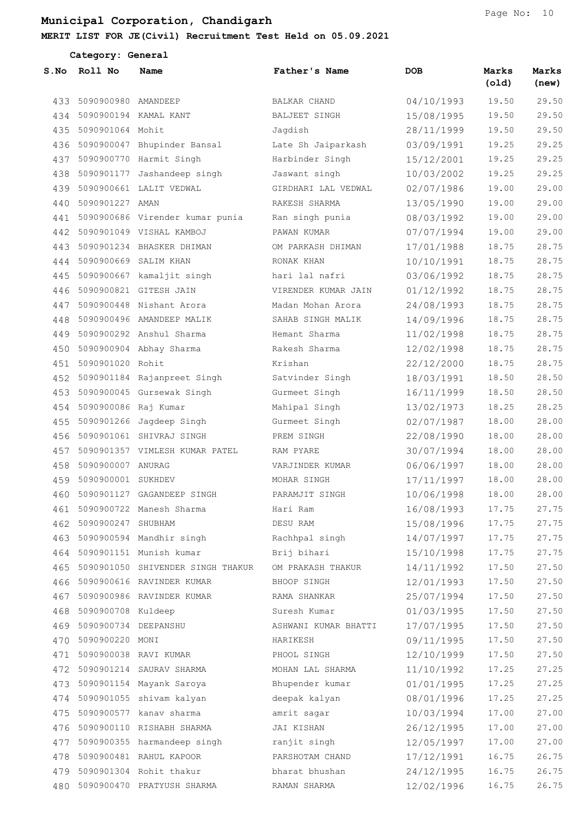| Category: General |                          |                                   |                      |            |                |                |
|-------------------|--------------------------|-----------------------------------|----------------------|------------|----------------|----------------|
| S.No              | Roll No                  | Name                              | Father's Name        | <b>DOB</b> | Marks<br>(old) | Marks<br>(new) |
| 433               | 5090900980 AMANDEEP      |                                   | <b>BALKAR CHAND</b>  | 04/10/1993 | 19.50          | 29.50          |
| 434               |                          | 5090900194 KAMAL KANT             | BALJEET SINGH        | 15/08/1995 | 19.50          | 29.50          |
| 435               | 5090901064 Mohit         |                                   | Jagdish              | 28/11/1999 | 19.50          | 29.50          |
| 436               |                          | 5090900047 Bhupinder Bansal       | Late Sh Jaiparkash   | 03/09/1991 | 19.25          | 29.25          |
| 437               |                          | 5090900770 Harmit Singh           | Harbinder Singh      | 15/12/2001 | 19.25          | 29.25          |
| 438               |                          | 5090901177 Jashandeep singh       | Jaswant singh        | 10/03/2002 | 19.25          | 29.25          |
| 439               |                          | 5090900661 LALIT VEDWAL           | GIRDHARI LAL VEDWAL  | 02/07/1986 | 19.00          | 29.00          |
| 440               | 5090901227 AMAN          |                                   | RAKESH SHARMA        | 13/05/1990 | 19.00          | 29.00          |
| 441               |                          | 5090900686 Virender kumar punia   | Ran singh punia      | 08/03/1992 | 19.00          | 29.00          |
| 442               |                          | 5090901049 VISHAL KAMBOJ          | PAWAN KUMAR          | 07/07/1994 | 19.00          | 29.00          |
| 443               |                          | 5090901234 BHASKER DHIMAN         | OM PARKASH DHIMAN    | 17/01/1988 | 18.75          | 28.75          |
| 444               |                          | 5090900669 SALIM KHAN             | RONAK KHAN           | 10/10/1991 | 18.75          | 28.75          |
| 445               |                          | 5090900667 kamaljit singh         | hari lal nafri       | 03/06/1992 | 18.75          | 28.75          |
| 446               |                          | 5090900821 GITESH JAIN            | VIRENDER KUMAR JAIN  | 01/12/1992 | 18.75          | 28.75          |
| 447               |                          | 5090900448 Nishant Arora          | Madan Mohan Arora    | 24/08/1993 | 18.75          | 28.75          |
| 448               |                          | 5090900496 AMANDEEP MALIK         | SAHAB SINGH MALIK    | 14/09/1996 | 18.75          | 28.75          |
| 449               |                          | 5090900292 Anshul Sharma          | Hemant Sharma        | 11/02/1998 | 18.75          | 28.75          |
| 450               |                          | 5090900904 Abhay Sharma           | Rakesh Sharma        | 12/02/1998 | 18.75          | 28.75          |
| 451               | 5090901020 Rohit         |                                   | Krishan              | 22/12/2000 | 18.75          | 28.75          |
| 452               |                          | 5090901184 Rajanpreet Singh       | Satvinder Singh      | 18/03/1991 | 18.50          | 28.50          |
| 453               |                          | 5090900045 Gursewak Singh         | Gurmeet Singh        | 16/11/1999 | 18.50          | 28.50          |
| 454               | 5090900086 Raj Kumar     |                                   | Mahipal Singh        | 13/02/1973 | 18.25          | 28.25          |
| 455               |                          | 5090901266 Jagdeep Singh          | Gurmeet Singh        | 02/07/1987 | 18.00          | 28.00          |
| 456               |                          | 5090901061 SHIVRAJ SINGH          | PREM SINGH           | 22/08/1990 | 18.00          | 28.00          |
| 457               |                          | 5090901357 VIMLESH KUMAR PATEL    | RAM PYARE            | 30/07/1994 | 18.00          | 28.00          |
| 458               | 5090900007 ANURAG        |                                   | VARJINDER KUMAR      | 06/06/1997 | 18.00          | 28.00          |
| 459               | 5090900001 SUKHDEV       |                                   | MOHAR SINGH          | 17/11/1997 | 18.00          | 28.00          |
|                   |                          | 460 5090901127 GAGANDEEP SINGH    | PARAMJIT SINGH       | 10/06/1998 | 18.00          | 28.00          |
|                   |                          | 461 5090900722 Manesh Sharma      | Hari Ram             | 16/08/1993 | 17.75          | 27.75          |
|                   | 462 5090900247 SHUBHAM   |                                   | DESU RAM             | 15/08/1996 | 17.75          | 27.75          |
|                   |                          | 463 5090900594 Mandhir singh      | Rachhpal singh       | 14/07/1997 | 17.75          | 27.75          |
|                   |                          | 464 5090901151 Munish kumar       | Brij bihari          | 15/10/1998 | 17.75          | 27.75          |
| 465               |                          | 5090901050 SHIVENDER SINGH THAKUR | OM PRAKASH THAKUR    | 14/11/1992 | 17.50          | 27.50          |
|                   |                          | 466 5090900616 RAVINDER KUMAR     | BHOOP SINGH          | 12/01/1993 | 17.50          | 27.50          |
| 467               |                          | 5090900986 RAVINDER KUMAR         | RAMA SHANKAR         | 25/07/1994 | 17.50          | 27.50          |
|                   | 468 5090900708 Kuldeep   |                                   | Suresh Kumar         | 01/03/1995 | 17.50          | 27.50          |
|                   | 469 5090900734 DEEPANSHU |                                   | ASHWANI KUMAR BHATTI | 17/07/1995 | 17.50          | 27.50          |
| 470               | 5090900220 MONI          |                                   | HARIKESH             | 09/11/1995 | 17.50          | 27.50          |
|                   |                          | 471 5090900038 RAVI KUMAR         | PHOOL SINGH          | 12/10/1999 | 17.50          | 27.50          |
|                   |                          | 472 5090901214 SAURAV SHARMA      | MOHAN LAL SHARMA     | 11/10/1992 | 17.25          | 27.25          |
|                   |                          | 473 5090901154 Mayank Saroya      | Bhupender kumar      | 01/01/1995 | 17.25          | 27.25          |
|                   |                          | 474 5090901055 shivam kalyan      | deepak kalyan        | 08/01/1996 | 17.25          | 27.25          |
| 475               |                          | 5090900577 kanav sharma           | amrit sagar          | 10/03/1994 | 17.00          | 27.00          |
|                   |                          | 476 5090900110 RISHABH SHARMA     | JAI KISHAN           | 26/12/1995 | 17.00          | 27.00          |
|                   |                          | 477 5090900355 harmandeep singh   | ranjit singh         | 12/05/1997 | 17.00          | 27.00          |
| 478               |                          | 5090900481 RAHUL KAPOOR           | PARSHOTAM CHAND      | 17/12/1991 | 16.75          | 26.75          |
|                   |                          | 479 5090901304 Rohit thakur       | bharat bhushan       | 24/12/1995 | 16.75          | 26.75          |
|                   |                          | 480 5090900470 PRATYUSH SHARMA    | RAMAN SHARMA         | 12/02/1996 | 16.75          | 26.75          |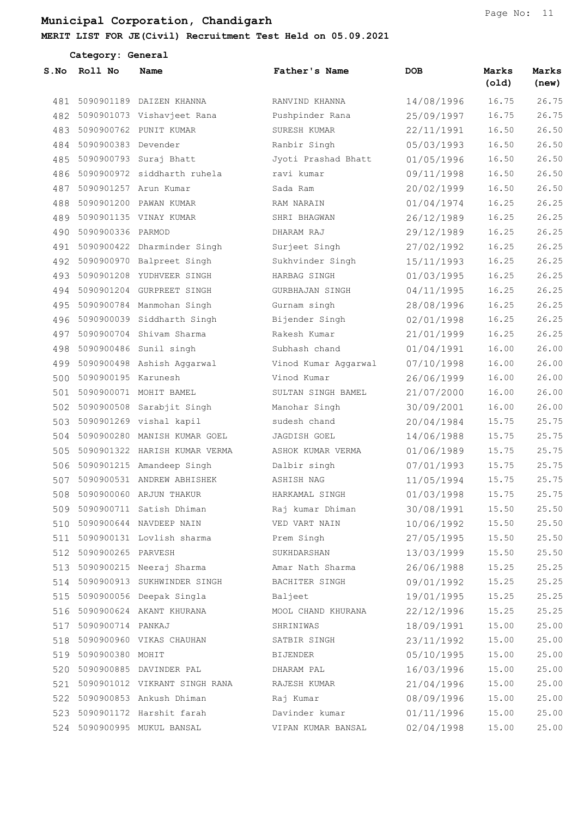Category: General

| S.No | Roll No                | Name                                                                            | Father's Name                 | <b>DOB</b> | Marks<br>(old) | Marks<br>(new) |
|------|------------------------|---------------------------------------------------------------------------------|-------------------------------|------------|----------------|----------------|
| 481  |                        | 5090901189 DAIZEN KHANNA                                                        | RANVIND KHANNA                | 14/08/1996 | 16.75          | 26.75          |
| 482  |                        | 5090901073 Vishavjeet Rana                                                      | Pushpinder Rana               | 25/09/1997 | 16.75          | 26.75          |
| 483  |                        | 5090900762 PUNIT KUMAR                                                          | SURESH KUMAR                  | 22/11/1991 | 16.50          | 26.50          |
| 484  | 5090900383 Devender    |                                                                                 | Ranbir Singh                  | 05/03/1993 | 16.50          | 26.50          |
| 485  |                        | 5090900793 Suraj Bhatt                                                          | Jyoti Prashad Bhatt           | 01/05/1996 | 16.50          | 26.50          |
| 486  |                        | 5090900972 siddharth ruhela                                                     | ravi kumar                    | 09/11/1998 | 16.50          | 26.50          |
| 487  |                        | 5090901257 Arun Kumar                                                           | Sada Ram                      | 20/02/1999 | 16.50          | 26.50          |
| 488  |                        | 5090901200 PAWAN KUMAR                                                          | RAM NARAIN                    | 01/04/1974 | 16.25          | 26.25          |
| 489  |                        | 5090901135 VINAY KUMAR                                                          | SHRI BHAGWAN                  | 26/12/1989 | 16.25          | 26.25          |
| 490  | 5090900336 PARMOD      |                                                                                 | DHARAM RAJ                    | 29/12/1989 | 16.25          | 26.25          |
| 491  |                        | 5090900422 Dharminder Singh                                                     | Surjeet Singh                 | 27/02/1992 | 16.25          | 26.25          |
| 492  |                        | 5090900970 Balpreet Singh                                                       | Sukhvinder Singh              | 15/11/1993 | 16.25          | 26.25          |
| 493  |                        | 5090901208 YUDHVEER SINGH                                                       | HARBAG SINGH                  | 01/03/1995 | 16.25          | 26.25          |
| 494  |                        | 5090901204 GURPREET SINGH                                                       | GURBHAJAN SINGH               | 04/11/1995 | 16.25          | 26.25          |
| 495  |                        | 5090900784 Manmohan Singh                                                       | Gurnam singh                  | 28/08/1996 | 16.25          | 26.25          |
| 496  |                        | 5090900039 Siddharth Singh                                                      | Bijender Singh                | 02/01/1998 | 16.25          | 26.25          |
| 497  |                        | 5090900704 Shivam Sharma                                                        | Rakesh Kumar                  | 21/01/1999 | 16.25          | 26.25          |
| 498  |                        | 5090900486 Sunil singh                                                          | Subhash chand                 | 01/04/1991 | 16.00          | 26.00          |
| 499  |                        | 5090900498 Ashish Aggarwal                                                      | Vinod Kumar Aggarwal          | 07/10/1998 | 16.00          | 26.00          |
| 500  | 5090900195 Karunesh    |                                                                                 | Vinod Kumar                   | 26/06/1999 | 16.00          | 26.00          |
| 501  |                        | 5090900071 MOHIT BAMEL                                                          | SULTAN SINGH BAMEL            | 21/07/2000 | 16.00          | 26.00          |
| 502  |                        | 5090900508 Sarabjit Singh                                                       | Manohar Singh                 | 30/09/2001 | 16.00          | 26.00          |
| 503  |                        | 5090901269 vishal kapil                                                         | sudesh chand                  | 20/04/1984 | 15.75          | 25.75          |
| 504  |                        | 5090900280 MANISH KUMAR GOEL                                                    | JAGDISH GOEL                  | 14/06/1988 | 15.75          | 25.75          |
| 505  |                        | 5090901322 HARISH KUMAR VERMA                                                   | ASHOK KUMAR VERMA             | 01/06/1989 | 15.75          | 25.75          |
| 506  |                        | 5090901215 Amandeep Singh                                                       | Dalbir singh                  | 07/01/1993 | 15.75          | 25.75          |
| 507  |                        | 5090900531 ANDREW ABHISHEK                                                      | ASHISH NAG                    | 11/05/1994 | 15.75          | 25.75          |
| 508  |                        | 5090900060 ARJUN THAKUR                                                         | HARKAMAL SINGH                | 01/03/1998 | 15.75          | 25.75          |
|      |                        | 509 5090900711 Satish Dhiman Majkumar Dhiman 30/08/1991 15.50                   |                               |            |                | 25.50          |
|      |                        | 510 5090900644 NAVDEEP NAIN VED VART NAIN 10/06/1992                            |                               |            | 15.50          | 25.50          |
|      |                        | 511 5090900131 Lovlish sharma Prem Singh                                        |                               | 27/05/1995 | 15.50          | 25.50          |
|      | 512 5090900265 PARVESH |                                                                                 | SUKHDARSHAN 13/03/1999        |            | 15.50          | 25.50          |
|      |                        | 513 5090900215 Neeraj Sharma Manar Nath Sharma 26/06/1988                       |                               |            | 15.25          | 25.25          |
|      |                        | 514 5090900913 SUKHWINDER SINGH BACHITER SINGH 09/01/1992                       |                               |            | 15.25          | 25.25          |
|      |                        | 515 5090900056 Deepak Singla Baljeet                                            |                               | 19/01/1995 | 15.25          | 25.25          |
|      |                        | 516 5090900624 AKANT KHURANA                                                    | MOOL CHAND KHURANA 22/12/1996 |            | 15.25          | 25.25          |
|      |                        | 517 5090900714 PANKAJ                                                           | SHRINIWAS                     | 18/09/1991 | 15.00          | 25.00          |
|      |                        | 518 5090900960 VIKAS CHAUHAN                                                    | SATBIR SINGH                  | 23/11/1992 | 15.00          | 25.00          |
|      | 519 5090900380 MOHIT   |                                                                                 | BIJENDER                      | 05/10/1995 | 15.00          | 25.00          |
|      |                        |                                                                                 |                               | 16/03/1996 | 15.00          | 25.00          |
|      |                        | 521 5090901012 VIKRANT SINGH RANA RAJESH KUMAR                                  |                               | 21/04/1996 | 15.00          | 25.00          |
|      |                        | 522 5090900853 Ankush Dhiman               Raj Kumar                 08/09/1996 |                               |            | 15.00          | 25.00          |
|      |                        | 523 5090901172 Harshit farah Mavinder kumar (1/11/1996)                         |                               |            | 15.00          | 25.00          |
|      |                        | 524 5090900995 MUKUL BANSAL                                                     | VIPAN KUMAR BANSAL 02/04/1998 |            | 15.00          | 25.00          |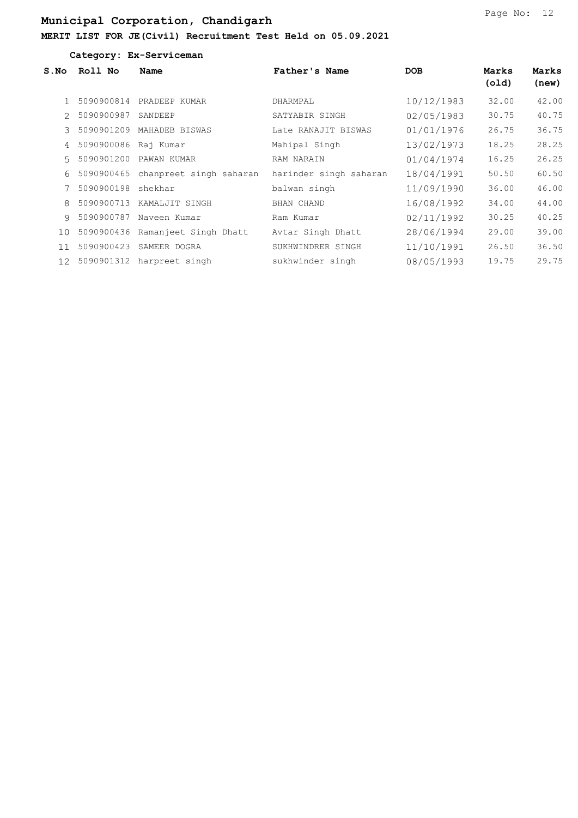|                   | Category: Ex-Serviceman |                         |                        |            |                |                |  |  |  |
|-------------------|-------------------------|-------------------------|------------------------|------------|----------------|----------------|--|--|--|
| S.NO              | Roll No                 | Name                    | Father's Name          | <b>DOB</b> | Marks<br>(old) | Marks<br>(new) |  |  |  |
|                   | 5090900814              | PRADEEP KUMAR           | DHARMPAL               | 10/12/1983 | 32.00          | 42.00          |  |  |  |
| $\mathcal{L}$     | 5090900987              | SANDEEP                 | SATYABIR SINGH         | 02/05/1983 | 30.75          | 40.75          |  |  |  |
| $\mathcal{L}$     | 5090901209              | MAHADEB BISWAS          | Late RANAJIT BISWAS    | 01/01/1976 | 26.75          | 36.75          |  |  |  |
| $\overline{4}$    | 5090900086              | Raj Kumar               | Mahipal Singh          | 13/02/1973 | 18.25          | 28.25          |  |  |  |
| 5                 | 5090901200              | PAWAN KUMAR             | <b>RAM NARAIN</b>      | 01/04/1974 | 16.25          | 26.25          |  |  |  |
| 6                 | 5090900465              | chanpreet singh saharan | harinder singh saharan | 18/04/1991 | 50.50          | 60.50          |  |  |  |
|                   | 5090900198              | shekhar                 | balwan singh           | 11/09/1990 | 36.00          | 46.00          |  |  |  |
| 8                 | 5090900713              | KAMALJIT SINGH          | BHAN CHAND             | 16/08/1992 | 34.00          | 44.00          |  |  |  |
| 9                 | 5090900787              | Naveen Kumar            | Ram Kumar              | 02/11/1992 | 30.25          | 40.25          |  |  |  |
| 10                | 5090900436              | Ramanjeet Singh Dhatt   | Avtar Singh Dhatt      | 28/06/1994 | 29.00          | 39.00          |  |  |  |
| 11                | 5090900423              | SAMEER DOGRA            | SUKHWINDRER SINGH      | 11/10/1991 | 26.50          | 36.50          |  |  |  |
| $12 \overline{ }$ | 5090901312              | harpreet singh          | sukhwinder singh       | 08/05/1993 | 19.75          | 29.75          |  |  |  |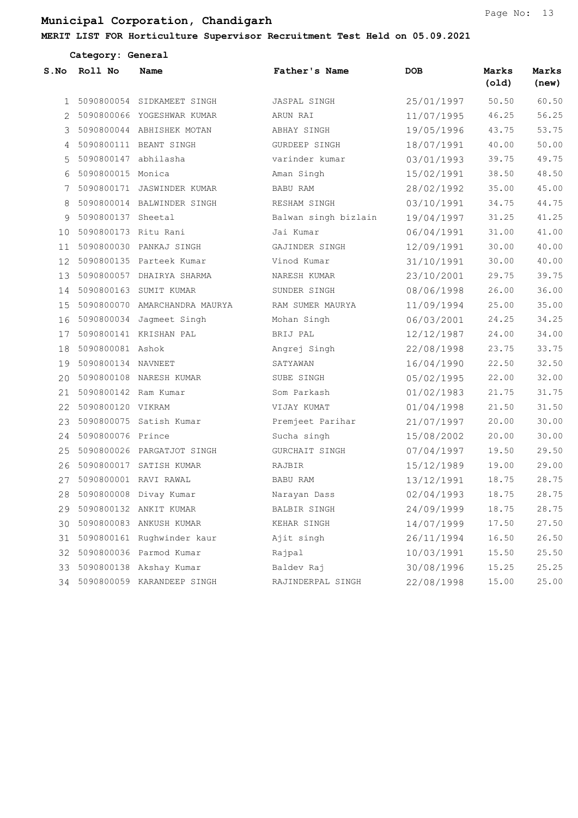#### MERIT LIST FOR Horticulture Supervisor Recruitment Test Held on 05.09.2021

| Category: General |                         |                               |                      |            |                |                |  |  |
|-------------------|-------------------------|-------------------------------|----------------------|------------|----------------|----------------|--|--|
| S.No              | Roll No                 | Name                          | Father's Name        | <b>DOB</b> | Marks<br>(old) | Marks<br>(new) |  |  |
| $\mathbf{1}$      |                         | 5090800054 SIDKAMEET SINGH    | JASPAL SINGH         | 25/01/1997 | 50.50          | 60.50          |  |  |
|                   |                         | 2 5090800066 YOGESHWAR KUMAR  | ARUN RAI             | 11/07/1995 | 46.25          | 56.25          |  |  |
| 3                 |                         | 5090800044 ABHISHEK MOTAN     | ABHAY SINGH          | 19/05/1996 | 43.75          | 53.75          |  |  |
| 4                 |                         | 5090800111 BEANT SINGH        | GURDEEP SINGH        | 18/07/1991 | 40.00          | 50.00          |  |  |
| 5                 | 5090800147 abhilasha    |                               | varinder kumar       | 03/01/1993 | 39.75          | 49.75          |  |  |
| 6                 | 5090800015 Monica       |                               | Aman Singh           | 15/02/1991 | 38.50          | 48.50          |  |  |
| 7                 |                         | 5090800171 JASWINDER KUMAR    | BABU RAM             | 28/02/1992 | 35.00          | 45.00          |  |  |
| 8                 |                         | 5090800014 BALWINDER SINGH    | RESHAM SINGH         | 03/10/1991 | 34.75          | 44.75          |  |  |
| 9                 | 5090800137 Sheetal      |                               | Balwan singh bizlain | 19/04/1997 | 31.25          | 41.25          |  |  |
|                   | 10 5090800173 Ritu Rani |                               | Jai Kumar            | 06/04/1991 | 31.00          | 41.00          |  |  |
| 11                |                         | 5090800030 PANKAJ SINGH       | GAJINDER SINGH       | 12/09/1991 | 30.00          | 40.00          |  |  |
| 12                |                         | 5090800135 Parteek Kumar      | Vinod Kumar          | 31/10/1991 | 30.00          | 40.00          |  |  |
| 13                |                         | 5090800057 DHAIRYA SHARMA     | NARESH KUMAR         | 23/10/2001 | 29.75          | 39.75          |  |  |
|                   |                         | 14 5090800163 SUMIT KUMAR     | SUNDER SINGH         | 08/06/1998 | 26.00          | 36.00          |  |  |
| 15                |                         | 5090800070 AMARCHANDRA MAURYA | RAM SUMER MAURYA     | 11/09/1994 | 25.00          | 35.00          |  |  |
| 16                |                         | 5090800034 Jagmeet Singh      | Mohan Singh          | 06/03/2001 | 24.25          | 34.25          |  |  |
| 17                |                         | 5090800141 KRISHAN PAL        | BRIJ PAL             | 12/12/1987 | 24.00          | 34.00          |  |  |
| 18                | 5090800081 Ashok        |                               | Angrej Singh         | 22/08/1998 | 23.75          | 33.75          |  |  |
| 19                | 5090800134 NAVNEET      |                               | SATYAWAN             | 16/04/1990 | 22.50          | 32.50          |  |  |
| 20                |                         | 5090800108 NARESH KUMAR       | SUBE SINGH           | 05/02/1995 | 22.00          | 32.00          |  |  |
| 21                | 5090800142 Ram Kumar    |                               | Som Parkash          | 01/02/1983 | 21.75          | 31.75          |  |  |
| 22                | 5090800120 VIKRAM       |                               | VIJAY KUMAT          | 01/04/1998 | 21.50          | 31.50          |  |  |
| 23                |                         | 5090800075 Satish Kumar       | Premjeet Parihar     | 21/07/1997 | 20.00          | 30.00          |  |  |
| 24                | 5090800076 Prince       |                               | Sucha singh          | 15/08/2002 | 20.00          | 30.00          |  |  |
| 25                |                         | 5090800026 PARGATJOT SINGH    | GURCHAIT SINGH       | 07/04/1997 | 19.50          | 29.50          |  |  |
| 26                |                         | 5090800017 SATISH KUMAR       | RAJBIR               | 15/12/1989 | 19.00          | 29.00          |  |  |
| 27                |                         | 5090800001 RAVI RAWAL         | BABU RAM             | 13/12/1991 | 18.75          | 28.75          |  |  |
| 28                |                         | 5090800008 Divay Kumar        | Narayan Dass         | 02/04/1993 | 18.75          | 28.75          |  |  |
| 29                |                         | 5090800132 ANKIT KUMAR        | BALBIR SINGH         | 24/09/1999 | 18.75          | 28.75          |  |  |
| 30                |                         | 5090800083 ANKUSH KUMAR       | KEHAR SINGH          | 14/07/1999 | 17.50          | 27.50          |  |  |
| 31                |                         | 5090800161 Rughwinder kaur    | Ajit singh           | 26/11/1994 | 16.50          | 26.50          |  |  |
| 32                |                         | 5090800036 Parmod Kumar       | Rajpal               | 10/03/1991 | 15.50          | 25.50          |  |  |
|                   |                         | 33 5090800138 Akshay Kumar    | Baldev Raj           | 30/08/1996 | 15.25          | 25.25          |  |  |

5090800059 KARANDEEP SINGH RAJINDERPAL SINGH 22/08/1998 15.00 25.00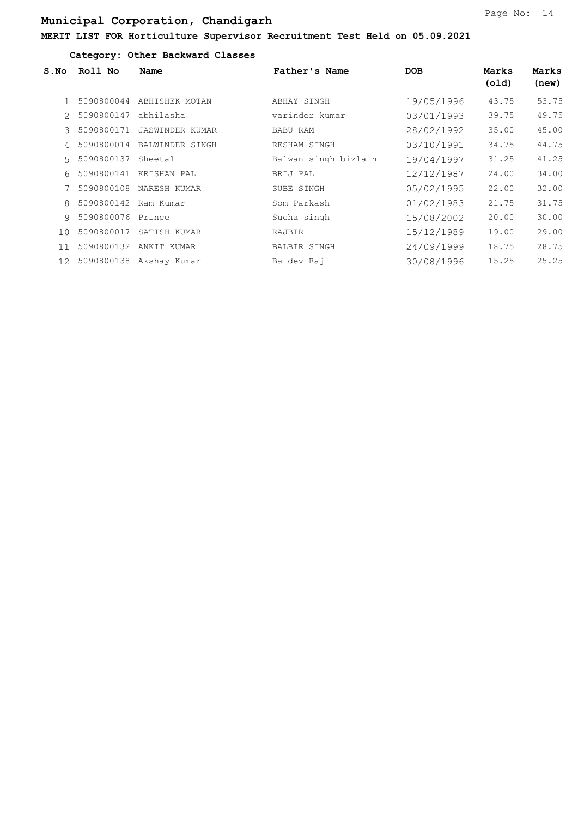#### Category: Other Backward Classes

| S.NO            | Roll No    | Name                    | Father's Name        | <b>DOB</b> | Marks<br>(old) | Marks<br>(new) |
|-----------------|------------|-------------------------|----------------------|------------|----------------|----------------|
|                 | 5090800044 | ABHISHEK MOTAN          | ABHAY SINGH          | 19/05/1996 | 43.75          | 53.75          |
| $2^{\circ}$     | 5090800147 | abhilasha               | varinder kumar       | 03/01/1993 | 39.75          | 49.75          |
| $\mathcal{L}$   | 5090800171 | <b>JASWINDER KUMAR</b>  | BABU RAM             | 28/02/1992 | 35.00          | 45.00          |
| $\overline{4}$  | 5090800014 | BALWINDER SINGH         | RESHAM SINGH         | 03/10/1991 | 34.75          | 44.75          |
| $5 -$           | 5090800137 | Sheetal                 | Balwan singh bizlain | 19/04/1997 | 31.25          | 41.25          |
| 6               | 5090800141 | KRISHAN PAL             | BRIJ PAL             | 12/12/1987 | 24.00          | 34.00          |
|                 | 5090800108 | NARESH KUMAR            | SUBE SINGH           | 05/02/1995 | 22.00          | 32.00          |
| 8               | 5090800142 | Ram Kumar               | Som Parkash          | 01/02/1983 | 21.75          | 31.75          |
| $\circ$         | 5090800076 | Prince                  | Sucha singh          | 15/08/2002 | 20.00          | 30.00          |
| 10              | 5090800017 | SATISH KUMAR            | RAJBIR               | 15/12/1989 | 19.00          | 29.00          |
| 11              | 5090800132 | ANKIT KUMAR             | BALBIR SINGH         | 24/09/1999 | 18.75          | 28.75          |
| 12 <sup>7</sup> |            | 5090800138 Akshay Kumar | Baldev Rai           | 30/08/1996 | 15.25          | 25.25          |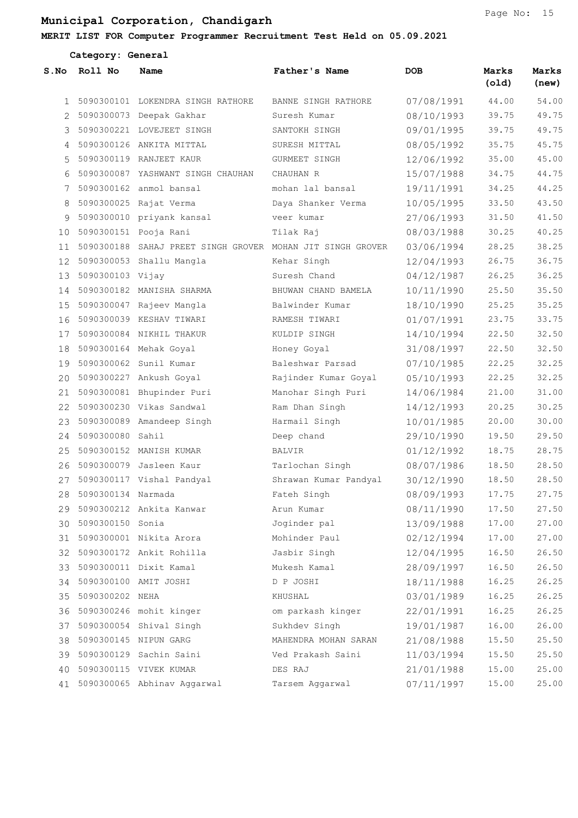#### MERIT LIST FOR Computer Programmer Recruitment Test Held on 05.09.2021

|              | Category: General     |                                                            |                       |            |                |                |
|--------------|-----------------------|------------------------------------------------------------|-----------------------|------------|----------------|----------------|
| S.No         | Roll No               | Name                                                       | Father's Name         | <b>DOB</b> | Marks<br>(old) | Marks<br>(new) |
| $\mathbf{1}$ |                       | 5090300101 LOKENDRA SINGH RATHORE                          | BANNE SINGH RATHORE   | 07/08/1991 | 44.00          | 54.00          |
|              |                       | 5090300073 Deepak Gakhar                                   | Suresh Kumar          | 08/10/1993 | 39.75          | 49.75          |
| 3            |                       | 5090300221 LOVEJEET SINGH                                  | SANTOKH SINGH         | 09/01/1995 | 39.75          | 49.75          |
| 4            |                       | 5090300126 ANKITA MITTAL                                   | SURESH MITTAL         | 08/05/1992 | 35.75          | 45.75          |
| 5            |                       | 5090300119 RANJEET KAUR                                    | GURMEET SINGH         | 12/06/1992 | 35.00          | 45.00          |
| 6            |                       | 5090300087 YASHWANT SINGH CHAUHAN                          | CHAUHAN R             | 15/07/1988 | 34.75          | 44.75          |
| 7            |                       | 5090300162 anmol bansal                                    | mohan lal bansal      | 19/11/1991 | 34.25          | 44.25          |
| 8            |                       | 5090300025 Rajat Verma                                     | Daya Shanker Verma    | 10/05/1995 | 33.50          | 43.50          |
| 9            |                       | 5090300010 priyank kansal                                  | veer kumar            | 27/06/1993 | 31.50          | 41.50          |
| 10           |                       | 5090300151 Pooja Rani                                      | Tilak Raj             | 08/03/1988 | 30.25          | 40.25          |
| 11           |                       | 5090300188 SAHAJ PREET SINGH GROVER MOHAN JIT SINGH GROVER |                       | 03/06/1994 | 28.25          | 38.25          |
| 12           |                       | 5090300053 Shallu Mangla                                   | Kehar Singh           | 12/04/1993 | 26.75          | 36.75          |
| 13           | 5090300103 Vijay      |                                                            | Suresh Chand          | 04/12/1987 | 26.25          | 36.25          |
| 14           |                       | 5090300182 MANISHA SHARMA                                  | BHUWAN CHAND BAMELA   | 10/11/1990 | 25.50          | 35.50          |
| 15           |                       | 5090300047 Rajeev Mangla                                   | Balwinder Kumar       | 18/10/1990 | 25.25          | 35.25          |
| 16           |                       | 5090300039 KESHAV TIWARI                                   | RAMESH TIWARI         | 01/07/1991 | 23.75          | 33.75          |
| 17           |                       | 5090300084 NIKHIL THAKUR                                   | KULDIP SINGH          | 14/10/1994 | 22.50          | 32.50          |
| 18           |                       | 5090300164 Mehak Goyal                                     | Honey Goyal           | 31/08/1997 | 22.50          | 32.50          |
| 19           |                       | 5090300062 Sunil Kumar                                     | Baleshwar Parsad      | 07/10/1985 | 22.25          | 32.25          |
| 20           |                       | 5090300227 Ankush Goyal                                    | Rajinder Kumar Goyal  | 05/10/1993 | 22.25          | 32.25          |
| 21           |                       | 5090300081 Bhupinder Puri                                  | Manohar Singh Puri    | 14/06/1984 | 21.00          | 31.00          |
| 22           |                       | 5090300230 Vikas Sandwal                                   | Ram Dhan Singh        | 14/12/1993 | 20.25          | 30.25          |
| 23           |                       | 5090300089 Amandeep Singh                                  | Harmail Singh         | 10/01/1985 | 20.00          | 30.00          |
| 24           | 5090300080 Sahil      |                                                            | Deep chand            | 29/10/1990 | 19.50          | 29.50          |
| 25           |                       | 5090300152 MANISH KUMAR                                    | <b>BALVIR</b>         | 01/12/1992 | 18.75          | 28.75          |
| 26           |                       | 5090300079 Jasleen Kaur                                    | Tarlochan Singh       | 08/07/1986 | 18.50          | 28.50          |
| 27           |                       | 5090300117 Vishal Pandyal                                  | Shrawan Kumar Pandyal | 30/12/1990 | 18.50          | 28.50          |
|              | 28 5090300134 Narmada |                                                            | Fateh Singh           | 08/09/1993 | 17.75          | 27.75          |
|              |                       | 29 5090300212 Ankita Kanwar                                | Arun Kumar            | 08/11/1990 | 17.50          | 27.50          |
|              | 30 5090300150 Sonia   |                                                            | Joginder pal          | 13/09/1988 | 17.00          | 27.00          |
|              |                       | 31 5090300001 Nikita Arora                                 | Mohinder Paul         | 02/12/1994 | 17.00          | 27.00          |
|              |                       | 32 5090300172 Ankit Rohilla                                | Jasbir Singh          | 12/04/1995 | 16.50          | 26.50          |
|              |                       | 33 5090300011 Dixit Kamal                                  | Mukesh Kamal          | 28/09/1997 | 16.50          | 26.50          |
| 34           |                       | 5090300100 AMIT JOSHI                                      | D P JOSHI             | 18/11/1988 | 16.25          | 26.25          |
|              | 35 5090300202 NEHA    |                                                            | KHUSHAL               | 03/01/1989 | 16.25          | 26.25          |
|              |                       | 36 5090300246 mohit kinger                                 | om parkash kinger     | 22/01/1991 | 16.25          | 26.25          |
|              |                       | 37 5090300054 Shival Singh                                 | Sukhdev Singh         | 19/01/1987 | 16.00          | 26.00          |
| 38           |                       | 5090300145 NIPUN GARG                                      | MAHENDRA MOHAN SARAN  | 21/08/1988 | 15.50          | 25.50          |
|              |                       | 39 5090300129 Sachin Saini                                 | Ved Prakash Saini     | 11/03/1994 | 15.50          | 25.50          |
|              |                       | 40 5090300115 VIVEK KUMAR                                  | DES RAJ               | 21/01/1988 | 15.00          | 25.00          |
|              |                       | 41 5090300065 Abhinav Aggarwal                             | Tarsem Aggarwal       | 07/11/1997 | 15.00          | 25.00          |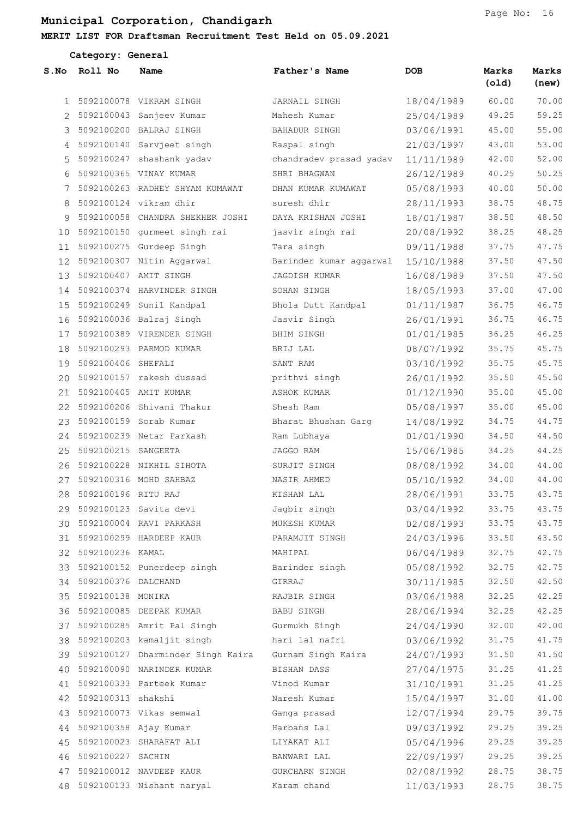#### MERIT LIST FOR Draftsman Recruitment Test Held on 05.09.2021

|              | Category: General      |                                      |                         |            |                |                |  |  |
|--------------|------------------------|--------------------------------------|-------------------------|------------|----------------|----------------|--|--|
| S.NO         | Roll No                | Name                                 | Father's Name           | <b>DOB</b> | Marks<br>(old) | Marks<br>(new) |  |  |
| $\mathbf{1}$ |                        | 5092100078 VIKRAM SINGH              | JARNAIL SINGH           | 18/04/1989 | 60.00          | 70.00          |  |  |
| 2            |                        | 5092100043 Sanjeev Kumar             | Mahesh Kumar            | 25/04/1989 | 49.25          | 59.25          |  |  |
| 3            |                        | 5092100200 BALRAJ SINGH              | BAHADUR SINGH           | 03/06/1991 | 45.00          | 55.00          |  |  |
| 4            |                        | 5092100140 Sarvjeet singh            | Raspal singh            | 21/03/1997 | 43.00          | 53.00          |  |  |
| 5            |                        | 5092100247 shashank yadav            | chandradev prasad yadav | 11/11/1989 | 42.00          | 52.00          |  |  |
| 6            |                        | 5092100365 VINAY KUMAR               | SHRI BHAGWAN            | 26/12/1989 | 40.25          | 50.25          |  |  |
| 7            |                        | 5092100263 RADHEY SHYAM KUMAWAT      | DHAN KUMAR KUMAWAT      | 05/08/1993 | 40.00          | 50.00          |  |  |
| 8            |                        | 5092100124 vikram dhir               | suresh dhir             | 28/11/1993 | 38.75          | 48.75          |  |  |
| 9            |                        | 5092100058 CHANDRA SHEKHER JOSHI     | DAYA KRISHAN JOSHI      | 18/01/1987 | 38.50          | 48.50          |  |  |
|              |                        | 10 5092100150 qurmeet singh rai      | jasvir singh rai        | 20/08/1992 | 38.25          | 48.25          |  |  |
| 11           |                        | 5092100275 Gurdeep Singh             | Tara singh              | 09/11/1988 | 37.75          | 47.75          |  |  |
| 12           |                        | 5092100307 Nitin Aggarwal            | Barinder kumar aqqarwal | 15/10/1988 | 37.50          | 47.50          |  |  |
| 13           |                        | 5092100407 AMIT SINGH                | <b>JAGDISH KUMAR</b>    | 16/08/1989 | 37.50          | 47.50          |  |  |
| 14           |                        | 5092100374 HARVINDER SINGH           | SOHAN SINGH             | 18/05/1993 | 37.00          | 47.00          |  |  |
| 15           |                        | 5092100249 Sunil Kandpal             | Bhola Dutt Kandpal      | 01/11/1987 | 36.75          | 46.75          |  |  |
| 16           |                        | 5092100036 Balraj Singh              | Jasvir Singh            | 26/01/1991 | 36.75          | 46.75          |  |  |
| 17           |                        | 5092100389 VIRENDER SINGH            | BHIM SINGH              | 01/01/1985 | 36.25          | 46.25          |  |  |
| 18           |                        | 5092100293 PARMOD KUMAR              | BRIJ LAL                | 08/07/1992 | 35.75          | 45.75          |  |  |
| 19           | 5092100406 SHEFALI     |                                      | SANT RAM                | 03/10/1992 | 35.75          | 45.75          |  |  |
| 20           |                        | 5092100157 rakesh dussad             | prithvi singh           | 26/01/1992 | 35.50          | 45.50          |  |  |
| 21           |                        | 5092100405 AMIT KUMAR                | ASHOK KUMAR             | 01/12/1990 | 35.00          | 45.00          |  |  |
| 22           |                        | 5092100206 Shivani Thakur            | Shesh Ram               | 05/08/1997 | 35.00          | 45.00          |  |  |
| 23           |                        | 5092100159 Sorab Kumar               | Bharat Bhushan Garg     | 14/08/1992 | 34.75          | 44.75          |  |  |
| 24           |                        | 5092100239 Netar Parkash             | Ram Lubhaya             | 01/01/1990 | 34.50          | 44.50          |  |  |
| 25           | 5092100215 SANGEETA    |                                      | JAGGO RAM               | 15/06/1985 | 34.25          | 44.25          |  |  |
| 26           |                        | 5092100228 NIKHIL SIHOTA             | SURJIT SINGH            | 08/08/1992 | 34.00          | 44.00          |  |  |
| 27           |                        | 5092100316 MOHD SAHBAZ               | NASIR AHMED             | 05/10/1992 | 34.00          | 44.00          |  |  |
| 28           | 5092100196 RITU RAJ    |                                      | KISHAN LAL              | 28/06/1991 | 33.75          | 43.75          |  |  |
|              |                        | 29 5092100123 Savita devi            | Jagbir singh            | 03/04/1992 | 33.75          | 43.75          |  |  |
|              |                        | 30 5092100004 RAVI PARKASH           | MUKESH KUMAR            | 02/08/1993 | 33.75          | 43.75          |  |  |
| 31           |                        | 5092100299 HARDEEP KAUR              | PARAMJIT SINGH          | 24/03/1996 | 33.50          | 43.50          |  |  |
|              | 32 5092100236 KAMAL    |                                      | MAHIPAL                 | 06/04/1989 | 32.75          | 42.75          |  |  |
|              |                        | 33 5092100152 Punerdeep singh        | Barinder singh          | 05/08/1992 | 32.75          | 42.75          |  |  |
|              | 34 5092100376 DALCHAND |                                      | GIRRAJ                  | 30/11/1985 | 32.50          | 42.50          |  |  |
| 35           | 5092100138 MONIKA      |                                      | RAJBIR SINGH            | 03/06/1988 | 32.25          | 42.25          |  |  |
|              |                        | 36 5092100085 DEEPAK KUMAR           | BABU SINGH              | 28/06/1994 | 32.25          | 42.25          |  |  |
|              |                        | 37 5092100285 Amrit Pal Singh        | Gurmukh Singh           | 24/04/1990 | 32.00          | 42.00          |  |  |
|              |                        | 38 5092100203 kamaljit singh         | hari lal nafri          | 03/06/1992 | 31.75          | 41.75          |  |  |
|              |                        | 39 5092100127 Dharminder Singh Kaira | Gurnam Singh Kaira      | 24/07/1993 | 31.50          | 41.50          |  |  |
|              |                        | 40 5092100090 NARINDER KUMAR         | BISHAN DASS             | 27/04/1975 | 31.25          | 41.25          |  |  |
| 41           |                        | 5092100333 Parteek Kumar             | Vinod Kumar             | 31/10/1991 | 31.25          | 41.25          |  |  |
|              | 42 5092100313 shakshi  |                                      | Naresh Kumar            | 15/04/1997 | 31.00          | 41.00          |  |  |
| 43           |                        | 5092100073 Vikas semwal              | Ganga prasad            | 12/07/1994 | 29.75          | 39.75          |  |  |
| 44           |                        | 5092100358 Ajay Kumar                | Harbans Lal             | 09/03/1992 | 29.25          | 39.25          |  |  |
| 45           |                        | 5092100023 SHARAFAT ALI              | LIYAKAT ALI             | 05/04/1996 | 29.25          | 39.25          |  |  |
| 46           | 5092100227 SACHIN      |                                      | BANWARI LAL             | 22/09/1997 | 29.25          | 39.25          |  |  |
| 47           |                        | 5092100012 NAVDEEP KAUR              | GURCHARN SINGH          | 02/08/1992 | 28.75          | 38.75          |  |  |
|              |                        | 48 5092100133 Nishant naryal         | Karam chand             | 11/03/1993 | 28.75          | 38.75          |  |  |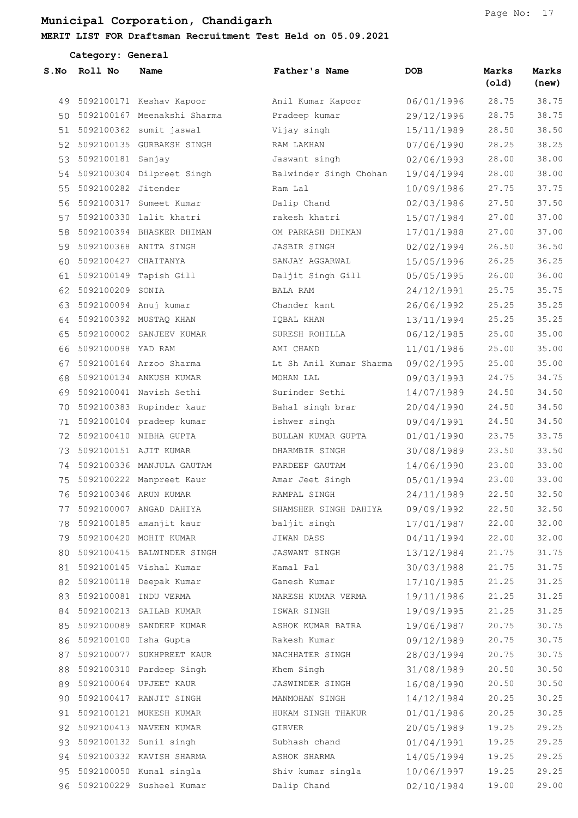Category: General

### MERIT LIST FOR Draftsman Recruitment Test Held on 05.09.2021

| S.NO | Roll No                  | Name                           | Father's Name           | DOB        | Marks<br>(old) | Marks<br>(new) |
|------|--------------------------|--------------------------------|-------------------------|------------|----------------|----------------|
| 49   |                          | 5092100171 Keshav Kapoor       | Anil Kumar Kapoor       | 06/01/1996 | 28.75          | 38.75          |
|      |                          | 50 5092100167 Meenakshi Sharma | Pradeep kumar           | 29/12/1996 | 28.75          | 38.75          |
| 51   |                          | 5092100362 sumit jaswal        | Vijay singh             | 15/11/1989 | 28.50          | 38.50          |
|      |                          | 52 5092100135 GURBAKSH SINGH   | RAM LAKHAN              | 07/06/1990 | 28.25          | 38.25          |
| 53   | 5092100181 Sanjay        |                                | Jaswant singh           | 02/06/1993 | 28.00          | 38.00          |
|      |                          | 54 5092100304 Dilpreet Singh   | Balwinder Singh Chohan  | 19/04/1994 | 28.00          | 38.00          |
| 55   | 5092100282 Jitender      |                                | Ram Lal                 | 10/09/1986 | 27.75          | 37.75          |
| 56   |                          | 5092100317 Sumeet Kumar        | Dalip Chand             | 02/03/1986 | 27.50          | 37.50          |
| 57   |                          | 5092100330 lalit khatri        | rakesh khatri           | 15/07/1984 | 27.00          | 37.00          |
| 58   |                          | 5092100394 BHASKER DHIMAN      | OM PARKASH DHIMAN       | 17/01/1988 | 27.00          | 37.00          |
| 59   |                          | 5092100368 ANITA SINGH         | JASBIR SINGH            | 02/02/1994 | 26.50          | 36.50          |
| 60   | 5092100427 CHAITANYA     |                                | SANJAY AGGARWAL         | 15/05/1996 | 26.25          | 36.25          |
| 61   |                          | 5092100149 Tapish Gill         | Daljit Singh Gill       | 05/05/1995 | 26.00          | 36.00          |
| 62   | 5092100209 SONIA         |                                | BALA RAM                | 24/12/1991 | 25.75          | 35.75          |
| 63   |                          | 5092100094 Anuj kumar          | Chander kant            | 26/06/1992 | 25.25          | 35.25          |
| 64   |                          | 5092100392 MUSTAQ KHAN         | IQBAL KHAN              | 13/11/1994 | 25.25          | 35.25          |
| 65   |                          | 5092100002 SANJEEV KUMAR       | SURESH ROHILLA          | 06/12/1985 | 25.00          | 35.00          |
| 66   | 5092100098 YAD RAM       |                                | AMI CHAND               | 11/01/1986 | 25.00          | 35.00          |
| 67   |                          | 5092100164 Arzoo Sharma        | Lt Sh Anil Kumar Sharma | 09/02/1995 | 25.00          | 35.00          |
| 68   |                          | 5092100134 ANKUSH KUMAR        | MOHAN LAL               | 09/03/1993 | 24.75          | 34.75          |
| 69   |                          | 5092100041 Navish Sethi        | Surinder Sethi          | 14/07/1989 | 24.50          | 34.50          |
| 70   |                          | 5092100383 Rupinder kaur       | Bahal singh brar        | 20/04/1990 | 24.50          | 34.50          |
| 71   |                          | 5092100104 pradeep kumar       | ishwer singh            | 09/04/1991 | 24.50          | 34.50          |
| 72   |                          | 5092100410 NIBHA GUPTA         | BULLAN KUMAR GUPTA      | 01/01/1990 | 23.75          | 33.75          |
| 73   |                          | 5092100151 AJIT KUMAR          | DHARMBIR SINGH          | 30/08/1989 | 23.50          | 33.50          |
| 74   |                          | 5092100336 MANJULA GAUTAM      | PARDEEP GAUTAM          | 14/06/1990 | 23.00          | 33.00          |
| 75   |                          | 5092100222 Manpreet Kaur       | Amar Jeet Singh         | 05/01/1994 | 23.00          | 33.00          |
| 76   |                          | 5092100346 ARUN KUMAR          | RAMPAL SINGH            | 24/11/1989 | 22.50          | 32.50          |
| 77   |                          | 5092100007 ANGAD DAHIYA        | SHAMSHER SINGH DAHIYA   | 09/09/1992 | 22.50          | 32.50          |
| 78   |                          | 5092100185 amanjit kaur        | baljit singh            | 17/01/1987 | 22.00          | 32.00          |
| 79   |                          | 5092100420 MOHIT KUMAR         | JIWAN DASS              | 04/11/1994 | 22.00          | 32.00          |
| 80   |                          | 5092100415 BALWINDER SINGH     | JASWANT SINGH           | 13/12/1984 | 21.75          | 31.75          |
| 81   |                          | 5092100145 Vishal Kumar        | Kamal Pal               | 30/03/1988 | 21.75          | 31.75          |
|      |                          | 82 5092100118 Deepak Kumar     | Ganesh Kumar            | 17/10/1985 | 21.25          | 31.25          |
| 83   |                          | 5092100081 INDU VERMA          | NARESH KUMAR VERMA      | 19/11/1986 | 21.25          | 31.25          |
|      |                          | 84 5092100213 SAILAB KUMAR     | ISWAR SINGH             | 19/09/1995 | 21.25          | 31.25          |
| 85   |                          | 5092100089 SANDEEP KUMAR       | ASHOK KUMAR BATRA       | 19/06/1987 | 20.75          | 30.75          |
|      | 86 5092100100 Isha Gupta |                                | Rakesh Kumar            | 09/12/1989 | 20.75          | 30.75          |
| 87   |                          | 5092100077 SUKHPREET KAUR      | NACHHATER SINGH         | 28/03/1994 | 20.75          | 30.75          |
| 88   |                          | 5092100310 Pardeep Singh       | Khem Singh              | 31/08/1989 | 20.50          | 30.50          |
| 89   |                          | 5092100064 UPJEET KAUR         | JASWINDER SINGH         | 16/08/1990 | 20.50          | 30.50          |
|      |                          | 90 5092100417 RANJIT SINGH     | MANMOHAN SINGH          | 14/12/1984 | 20.25          | 30.25          |
| 91   |                          | 5092100121 MUKESH KUMAR        | HUKAM SINGH THAKUR      | 01/01/1986 | 20.25          | 30.25          |
|      |                          | 92 5092100413 NAVEEN KUMAR     | GIRVER                  | 20/05/1989 | 19.25          | 29.25          |
| 93   |                          | 5092100132 Sunil singh         | Subhash chand           | 01/04/1991 | 19.25          | 29.25          |
|      |                          | 94 5092100332 KAVISH SHARMA    | ASHOK SHARMA            | 14/05/1994 | 19.25          | 29.25          |
| 95   |                          | 5092100050 Kunal singla        | Shiv kumar singla       | 10/06/1997 | 19.25          | 29.25          |
|      |                          | 96 5092100229 Susheel Kumar    | Dalip Chand             | 02/10/1984 | 19.00          | 29.00          |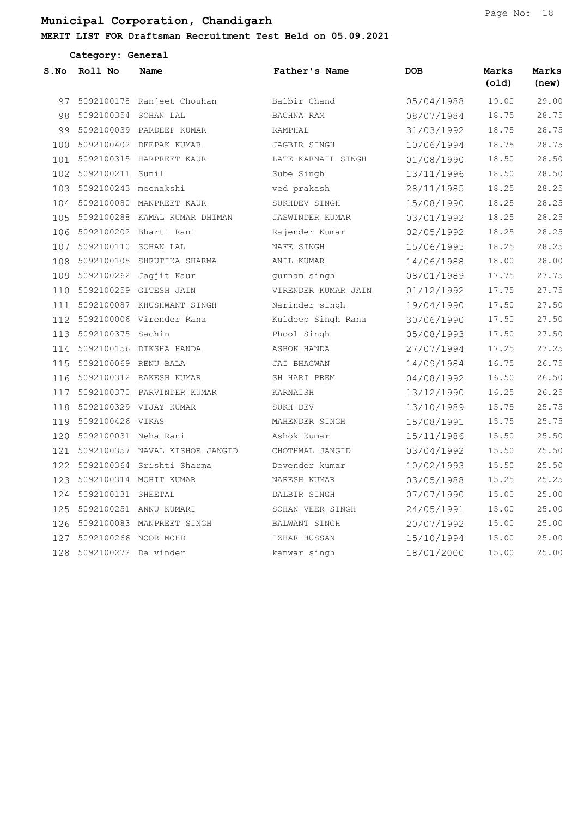### MERIT LIST FOR Draftsman Recruitment Test Held on 05.09.2021

|      | Category: General        |                                |                        |            |                |                |  |  |  |
|------|--------------------------|--------------------------------|------------------------|------------|----------------|----------------|--|--|--|
| S.No | Roll No                  | Name                           | Father's Name          | <b>DOB</b> | Marks<br>(old) | Marks<br>(new) |  |  |  |
| 97   |                          | 5092100178 Ranjeet Chouhan     | Balbir Chand           | 05/04/1988 | 19.00          | 29.00          |  |  |  |
|      | 98 5092100354 SOHAN LAL  |                                | BACHNA RAM             | 08/07/1984 | 18.75          | 28.75          |  |  |  |
| 99   |                          | 5092100039 PARDEEP KUMAR       | RAMPHAL                | 31/03/1992 | 18.75          | 28.75          |  |  |  |
| 100  |                          | 5092100402 DEEPAK KUMAR        | JAGBIR SINGH           | 10/06/1994 | 18.75          | 28.75          |  |  |  |
| 101  |                          | 5092100315 HARPREET KAUR       | LATE KARNAIL SINGH     | 01/08/1990 | 18.50          | 28.50          |  |  |  |
|      | 102 5092100211 Sunil     |                                | Sube Singh             | 13/11/1996 | 18.50          | 28.50          |  |  |  |
| 103  | 5092100243 meenakshi     |                                | ved prakash            | 28/11/1985 | 18.25          | 28.25          |  |  |  |
| 104  |                          | 5092100080 MANPREET KAUR       | SUKHDEV SINGH          | 15/08/1990 | 18.25          | 28.25          |  |  |  |
| 105  |                          | 5092100288 KAMAL KUMAR DHIMAN  | <b>JASWINDER KUMAR</b> | 03/01/1992 | 18.25          | 28.25          |  |  |  |
| 106  |                          | 5092100202 Bharti Rani         | Rajender Kumar         | 02/05/1992 | 18.25          | 28.25          |  |  |  |
| 107  | 5092100110 SOHAN LAL     |                                | NAFE SINGH             | 15/06/1995 | 18.25          | 28.25          |  |  |  |
| 108  |                          | 5092100105 SHRUTIKA SHARMA     | ANIL KUMAR             | 14/06/1988 | 18.00          | 28.00          |  |  |  |
| 109  |                          | 5092100262 Jagjit Kaur         | qurnam singh           | 08/01/1989 | 17.75          | 27.75          |  |  |  |
|      |                          | 110 5092100259 GITESH JAIN     | VIRENDER KUMAR JAIN    | 01/12/1992 | 17.75          | 27.75          |  |  |  |
| 111  |                          | 5092100087 KHUSHWANT SINGH     | Narinder singh         | 19/04/1990 | 17.50          | 27.50          |  |  |  |
|      |                          | 112 5092100006 Virender Rana   | Kuldeep Singh Rana     | 30/06/1990 | 17.50          | 27.50          |  |  |  |
| 113  | 5092100375 Sachin        |                                | Phool Singh            | 05/08/1993 | 17.50          | 27.50          |  |  |  |
|      |                          | 114 5092100156 DIKSHA HANDA    | ASHOK HANDA            | 27/07/1994 | 17.25          | 27.25          |  |  |  |
| 115  | 5092100069 RENU BALA     |                                | JAI BHAGWAN            | 14/09/1984 | 16.75          | 26.75          |  |  |  |
| 116  |                          | 5092100312 RAKESH KUMAR        | SH HARI PREM           | 04/08/1992 | 16.50          | 26.50          |  |  |  |
| 117  |                          | 5092100370 PARVINDER KUMAR     | KARNAISH               | 13/12/1990 | 16.25          | 26.25          |  |  |  |
| 118  |                          | 5092100329 VIJAY KUMAR         | SUKH DEV               | 13/10/1989 | 15.75          | 25.75          |  |  |  |
| 119  | 5092100426 VIKAS         |                                | MAHENDER SINGH         | 15/08/1991 | 15.75          | 25.75          |  |  |  |
| 120  | 5092100031 Neha Rani     |                                | Ashok Kumar            | 15/11/1986 | 15.50          | 25.50          |  |  |  |
| 121  |                          | 5092100357 NAVAL KISHOR JANGID | CHOTHMAL JANGID        | 03/04/1992 | 15.50          | 25.50          |  |  |  |
| 122  |                          | 5092100364 Srishti Sharma      | Devender kumar         | 10/02/1993 | 15.50          | 25.50          |  |  |  |
| 123  |                          | 5092100314 MOHIT KUMAR         | NARESH KUMAR           | 03/05/1988 | 15.25          | 25.25          |  |  |  |
|      | 124 5092100131 SHEETAL   |                                | DALBIR SINGH           | 07/07/1990 | 15.00          | 25.00          |  |  |  |
|      |                          | 125 5092100251 ANNU KUMARI     | SOHAN VEER SINGH       | 24/05/1991 | 15.00          | 25.00          |  |  |  |
|      |                          | 126 5092100083 MANPREET SINGH  | BALWANT SINGH          | 20/07/1992 | 15.00          | 25.00          |  |  |  |
| 127  | 5092100266 NOOR MOHD     |                                | IZHAR HUSSAN           | 15/10/1994 | 15.00          | 25.00          |  |  |  |
|      | 128 5092100272 Dalvinder |                                | kanwar singh           | 18/01/2000 | 15.00          | 25.00          |  |  |  |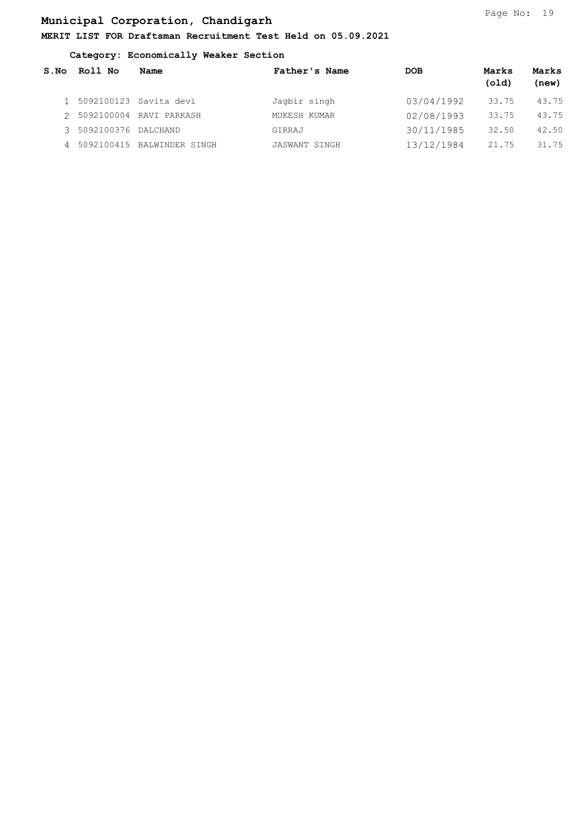### MERIT LIST FOR Draftsman Recruitment Test Held on 05.09.2021

#### Category: Economically Weaker Section

| S.NO | Roll No               | Name                         | Father's Name | <b>DOB</b> | Marks<br>(old) | Marks<br>(new) |
|------|-----------------------|------------------------------|---------------|------------|----------------|----------------|
|      |                       | 1 5092100123 Savita devi     | Jagbir singh  | 03/04/1992 | 33.75          | 43.75          |
|      |                       | 2 5092100004 RAVI PARKASH    | MUKESH KUMAR  | 02/08/1993 | 33.75          | 43.75          |
|      | 3 5092100376 DALCHAND |                              | GIRRAJ        | 30/11/1985 | 32.50          | 42.50          |
|      |                       | 4 5092100415 BALWINDER SINGH | JASWANT SINGH | 13/12/1984 | 21.75          | 31.75          |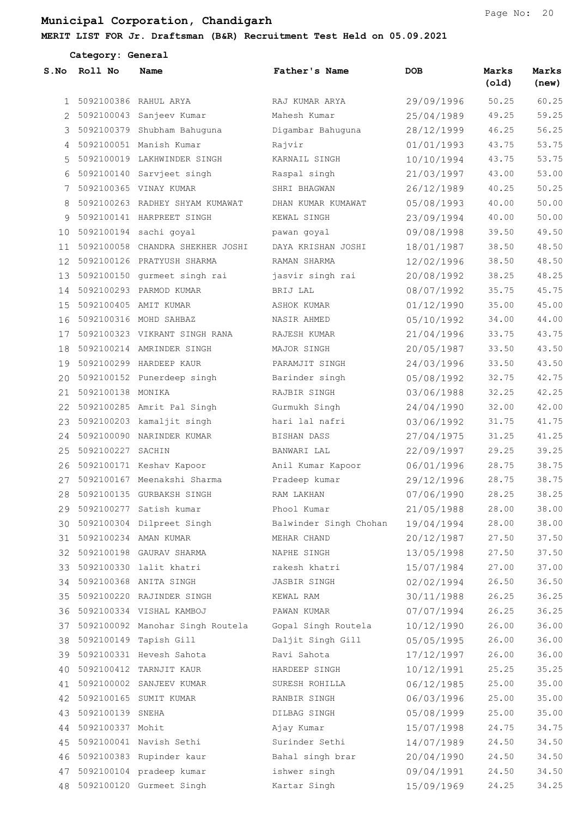### MERIT LIST FOR Jr. Draftsman (B&R) Recruitment Test Held on 05.09.2021

|              | Category: General |                                                      |                        |            |                |                |  |  |  |
|--------------|-------------------|------------------------------------------------------|------------------------|------------|----------------|----------------|--|--|--|
| S.NO         | Roll No           | Name                                                 | Father's Name          | <b>DOB</b> | Marks<br>(old) | Marks<br>(new) |  |  |  |
| $\mathbf{1}$ | 5092100386        | RAHUL ARYA                                           | RAJ KUMAR ARYA         | 29/09/1996 | 50.25          | 60.25          |  |  |  |
| 2            |                   | 5092100043 Sanjeev Kumar                             | Mahesh Kumar           | 25/04/1989 | 49.25          | 59.25          |  |  |  |
| 3            |                   | 5092100379 Shubham Bahuquna                          | Digambar Bahuguna      | 28/12/1999 | 46.25          | 56.25          |  |  |  |
| 4            |                   | 5092100051 Manish Kumar                              | Rajvir                 | 01/01/1993 | 43.75          | 53.75          |  |  |  |
| 5            |                   | 5092100019 LAKHWINDER SINGH                          | KARNAIL SINGH          | 10/10/1994 | 43.75          | 53.75          |  |  |  |
| 6            |                   | 5092100140 Sarvjeet singh                            | Raspal singh           | 21/03/1997 | 43.00          | 53.00          |  |  |  |
| 7            |                   | 5092100365 VINAY KUMAR                               | SHRI BHAGWAN           | 26/12/1989 | 40.25          | 50.25          |  |  |  |
| 8            |                   | 5092100263 RADHEY SHYAM KUMAWAT                      | DHAN KUMAR KUMAWAT     | 05/08/1993 | 40.00          | 50.00          |  |  |  |
| 9            |                   | 5092100141 HARPREET SINGH                            | KEWAL SINGH            | 23/09/1994 | 40.00          | 50.00          |  |  |  |
| 10           |                   | 5092100194 sachi goyal                               | pawan goyal            | 09/08/1998 | 39.50          | 49.50          |  |  |  |
| 11           |                   | 5092100058 CHANDRA SHEKHER JOSHI                     | DAYA KRISHAN JOSHI     | 18/01/1987 | 38.50          | 48.50          |  |  |  |
| 12           |                   | 5092100126 PRATYUSH SHARMA                           | RAMAN SHARMA           | 12/02/1996 | 38.50          | 48.50          |  |  |  |
| 13           |                   | 5092100150 gurmeet singh rai                         | jasvir singh rai       | 20/08/1992 | 38.25          | 48.25          |  |  |  |
| 14           |                   | 5092100293 PARMOD KUMAR                              | BRIJ LAL               | 08/07/1992 | 35.75          | 45.75          |  |  |  |
| 15           |                   | 5092100405 AMIT KUMAR                                | ASHOK KUMAR            | 01/12/1990 | 35.00          | 45.00          |  |  |  |
| 16           |                   | 5092100316 MOHD SAHBAZ                               | NASIR AHMED            | 05/10/1992 | 34.00          | 44.00          |  |  |  |
| 17           |                   | 5092100323 VIKRANT SINGH RANA                        | RAJESH KUMAR           | 21/04/1996 | 33.75          | 43.75          |  |  |  |
| 18           |                   | 5092100214 AMRINDER SINGH                            | MAJOR SINGH            | 20/05/1987 | 33.50          | 43.50          |  |  |  |
| 19           |                   | 5092100299 HARDEEP KAUR                              | PARAMJIT SINGH         | 24/03/1996 | 33.50          | 43.50          |  |  |  |
| 20           |                   | 5092100152 Punerdeep singh                           | Barinder singh         | 05/08/1992 | 32.75          | 42.75          |  |  |  |
| 21           | 5092100138        | MONIKA                                               | RAJBIR SINGH           | 03/06/1988 | 32.25          | 42.25          |  |  |  |
| 22           |                   | 5092100285 Amrit Pal Singh                           | Gurmukh Singh          | 24/04/1990 | 32.00          | 42.00          |  |  |  |
| 23           |                   | 5092100203 kamaljit singh                            | hari lal nafri         | 03/06/1992 | 31.75          | 41.75          |  |  |  |
| 24           |                   | 5092100090 NARINDER KUMAR                            | BISHAN DASS            | 27/04/1975 | 31.25          | 41.25          |  |  |  |
| 25           | 5092100227 SACHIN |                                                      | BANWARI LAL            | 22/09/1997 | 29.25          | 39.25          |  |  |  |
| 26           |                   | 5092100171 Keshav Kapoor                             | Anil Kumar Kapoor      | 06/01/1996 | 28.75          | 38.75          |  |  |  |
| 27           |                   | 5092100167 Meenakshi Sharma                          | Pradeep kumar          | 29/12/1996 | 28.75          | 38.75          |  |  |  |
| 28           |                   | 5092100135 GURBAKSH SINGH                            | RAM LAKHAN             | 07/06/1990 | 28.25          | 38.25          |  |  |  |
| 29           |                   | 5092100277 Satish kumar                              | Phool Kumar            | 21/05/1988 | 28.00          | 38.00          |  |  |  |
| 30           |                   | 5092100304 Dilpreet Singh                            | Balwinder Singh Chohan | 19/04/1994 | 28.00          | 38.00          |  |  |  |
| 31           |                   | 5092100234 AMAN KUMAR                                | MEHAR CHAND            | 20/12/1987 | 27.50          | 37.50          |  |  |  |
|              |                   | 32 5092100198 GAURAV SHARMA                          | NAPHE SINGH            | 13/05/1998 | 27.50          | 37.50          |  |  |  |
| 33           |                   | 5092100330 lalit khatri                              | rakesh khatri          | 15/07/1984 | 27.00          | 37.00          |  |  |  |
| 34           |                   | 5092100368 ANITA SINGH                               | JASBIR SINGH           | 02/02/1994 | 26.50          | 36.50          |  |  |  |
| 35           |                   | 5092100220 RAJINDER SINGH                            | KEWAL RAM              | 30/11/1988 | 26.25          | 36.25          |  |  |  |
|              |                   | 36 5092100334 VISHAL KAMBOJ                          | PAWAN KUMAR            | 07/07/1994 | 26.25          | 36.25          |  |  |  |
| 37           |                   | 5092100092 Manohar Singh Routela Gopal Singh Routela |                        | 10/12/1990 | 26.00          | 36.00          |  |  |  |
| 38           |                   | 5092100149 Tapish Gill                               | Daljit Singh Gill      | 05/05/1995 | 26.00          | 36.00          |  |  |  |
| 39           |                   | 5092100331 Hevesh Sahota                             | Ravi Sahota            | 17/12/1997 | 26.00          | 36.00          |  |  |  |
| 40           |                   | 5092100412 TARNJIT KAUR                              | HARDEEP SINGH          | 10/12/1991 | 25.25          | 35.25          |  |  |  |
| 41           |                   | 5092100002 SANJEEV KUMAR                             | SURESH ROHILLA         | 06/12/1985 | 25.00          | 35.00          |  |  |  |
| 42           |                   | 5092100165 SUMIT KUMAR                               | RANBIR SINGH           | 06/03/1996 | 25.00          | 35.00          |  |  |  |
| 43           | 5092100139 SNEHA  |                                                      | DILBAG SINGH           | 05/08/1999 | 25.00          | 35.00          |  |  |  |
| 44           | 5092100337 Mohit  |                                                      | Ajay Kumar             | 15/07/1998 | 24.75          | 34.75          |  |  |  |
| 45           |                   | 5092100041 Navish Sethi                              | Surinder Sethi         | 14/07/1989 | 24.50          | 34.50          |  |  |  |
| 46           |                   | 5092100383 Rupinder kaur                             | Bahal singh brar       | 20/04/1990 | 24.50          | 34.50          |  |  |  |
| 47           |                   | 5092100104 pradeep kumar                             | ishwer singh           | 09/04/1991 | 24.50          | 34.50          |  |  |  |
|              |                   | 48 5092100120 Gurmeet Singh                          | Kartar Singh           | 15/09/1969 | 24.25          | 34.25          |  |  |  |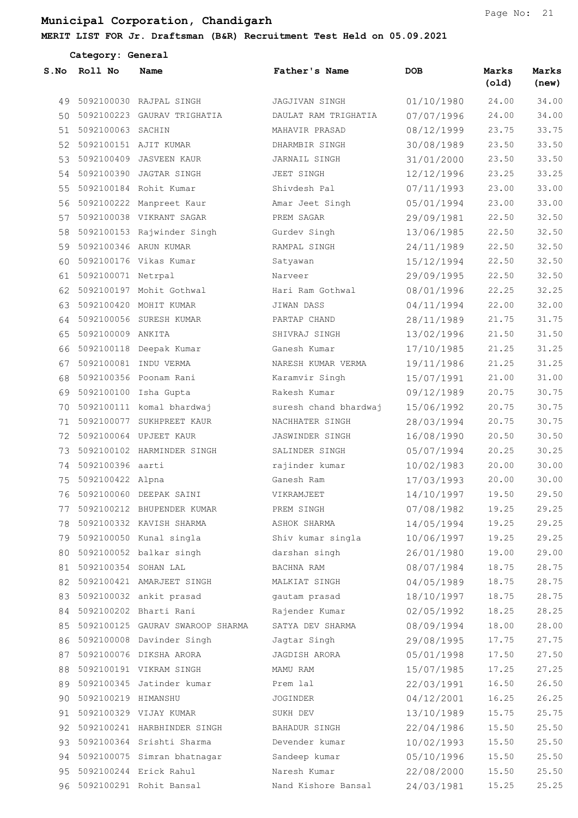#### MERIT LIST

|      | Category: General        |                                |                       |            |                |                |
|------|--------------------------|--------------------------------|-----------------------|------------|----------------|----------------|
| S.NO | Roll No                  | Name                           | Father's Name         | <b>DOB</b> | Marks<br>(old) | Marks<br>(new) |
|      |                          | 49 5092100030 RAJPAL SINGH     | JAGJIVAN SINGH        | 01/10/1980 | 24.00          | 34.00          |
|      |                          | 50 5092100223 GAURAV TRIGHATIA | DAULAT RAM TRIGHATIA  | 07/07/1996 | 24.00          | 34.00          |
|      | 51 5092100063 SACHIN     |                                | MAHAVIR PRASAD        | 08/12/1999 | 23.75          | 33.75          |
|      | 52 5092100151 AJIT KUMAR |                                | DHARMBIR SINGH        | 30/08/1989 | 23.50          | 33.50          |
|      |                          | 53 5092100409 JASVEEN KAUR     | JARNAIL SINGH         | 31/01/2000 | 23.50          | 33.50          |
|      |                          | 54 5092100390 JAGTAR SINGH     | JEET SINGH            | 12/12/1996 | 23.25          | 33.25          |
|      |                          | 55 5092100184 Rohit Kumar      | Shivdesh Pal          | 07/11/1993 | 23.00          | 33.00          |
|      |                          | 56 5092100222 Manpreet Kaur    | Amar Jeet Singh       | 05/01/1994 | 23.00          | 33.00          |
|      |                          | 57 5092100038 VIKRANT SAGAR    | PREM SAGAR            | 29/09/1981 | 22.50          | 32.50          |
|      |                          | 58 5092100153 Rajwinder Singh  | Gurdev Singh          | 13/06/1985 | 22.50          | 32.50          |
|      | 59 5092100346 ARUN KUMAR |                                | RAMPAL SINGH          | 24/11/1989 | 22.50          | 32.50          |
| 60   |                          | 5092100176 Vikas Kumar         | Satyawan              | 15/12/1994 | 22.50          | 32.50          |
|      | 61 5092100071 Netrpal    |                                | Narveer               | 29/09/1995 | 22.50          | 32.50          |
|      |                          | 62 5092100197 Mohit Gothwal    | Hari Ram Gothwal      | 08/01/1996 | 22.25          | 32.25          |
|      |                          | 63 5092100420 MOHIT KUMAR      | JIWAN DASS            | 04/11/1994 | 22.00          | 32.00          |
|      |                          | 64 5092100056 SURESH KUMAR     | PARTAP CHAND          | 28/11/1989 | 21.75          | 31.75          |
|      | 65 5092100009 ANKITA     |                                | SHIVRAJ SINGH         | 13/02/1996 | 21.50          | 31.50          |
|      |                          | 66 5092100118 Deepak Kumar     | Ganesh Kumar          | 17/10/1985 | 21.25          | 31.25          |
|      | 67 5092100081 INDU VERMA |                                | NARESH KUMAR VERMA    | 19/11/1986 | 21.25          | 31.25          |
| 68   |                          | 5092100356 Poonam Rani         | Karamvir Singh        | 15/07/1991 | 21.00          | 31.00          |
|      | 69 5092100100 Isha Gupta |                                | Rakesh Kumar          | 09/12/1989 | 20.75          | 30.75          |
| 70   |                          | 5092100111 komal bhardwaj      | suresh chand bhardwaj | 15/06/1992 | 20.75          | 30.75          |
|      |                          | 71 5092100077 SUKHPREET KAUR   | NACHHATER SINGH       | 28/03/1994 | 20.75          | 30.75          |
|      |                          | 72 5092100064 UPJEET KAUR      | JASWINDER SINGH       | 16/08/1990 | 20.50          | 30.50          |
|      |                          | 73 5092100102 HARMINDER SINGH  | SALINDER SINGH        | 05/07/1994 | 20.25          | 30.25          |
|      | 74 5092100396 aarti      |                                | rajinder kumar        | 10/02/1983 | 20.00          | 30.00          |
|      | 75 5092100422 Alpna      |                                | Ganesh Ram            | 17/03/1993 | 20.00          | 30.00          |
|      |                          | 76 5092100060 DEEPAK SAINI     | VIKRAMJEET            | 14/10/1997 | 19.50          | 29.50          |
|      |                          | 77 5092100212 BHUPENDER KUMAR  | PREM SINGH            | 07/08/1982 | 19.25          | 29.25          |
|      |                          | 78 5092100332 KAVISH SHARMA    | ASHOK SHARMA          | 14/05/1994 | 19.25          | 29.25          |
|      |                          | 79 5092100050 Kunal singla     | Shiv kumar singla     | 10/06/1997 | 19.25          | 29.25          |
| 80   |                          | 5092100052 balkar singh        | darshan singh         | 26/01/1980 | 19.00          | 29.00          |
|      | 81 5092100354 SOHAN LAL  |                                | BACHNA RAM            | 08/07/1984 | 18.75          | 28.75          |
|      |                          | 82 5092100421 AMARJEET SINGH   | MALKIAT SINGH         | 04/05/1989 | 18.75          | 28.75          |
|      |                          | 83 5092100032 ankit prasad     | gautam prasad         | 18/10/1997 | 18.75          | 28.75          |

 5092100202 Bharti Rani Rajender Kumar 02/05/1992 18.25 28.25 5092100125 GAURAV SWAROOP SHARMA SATYA DEV SHARMA 08/09/1994 18.00 28.00 5092100008 Davinder Singh Jagtar Singh 29/08/1995 17.75 27.75 5092100076 DIKSHA ARORA JAGDISH ARORA 05/01/1998 17.50 27.50

Page No: 21

|                        | 88 5092100191 VIKRAM SINGH     | MAMU RAM             | 15/07/1985 | 17.25 | 27.25 |
|------------------------|--------------------------------|----------------------|------------|-------|-------|
|                        | 89 5092100345 Jatinder kumar   | Prem lal             | 22/03/1991 | 16.50 | 26.50 |
| 90 5092100219 HIMANSHU |                                | <b>JOGINDER</b>      | 04/12/2001 | 16.25 | 26.25 |
|                        | 91 5092100329 VIJAY KUMAR      | SUKH DEV             | 13/10/1989 | 15.75 | 25.75 |
|                        | 92 5092100241 HARBHINDER SINGH | <b>BAHADUR SINGH</b> | 22/04/1986 | 15.50 | 25.50 |
|                        | 93 5092100364 Srishti Sharma   | Devender kumar       | 10/02/1993 | 15.50 | 25.50 |
|                        | 94 5092100075 Simran bhatnagar | Sandeep kumar        | 05/10/1996 | 15.50 | 25.50 |
|                        | 95 5092100244 Erick Rahul      | Naresh Kumar         | 22/08/2000 | 15.50 | 25.50 |
|                        | 96 5092100291 Rohit Bansal     | Nand Kishore Bansal  | 24/03/1981 | 15.25 | 25.25 |
|                        |                                |                      |            |       |       |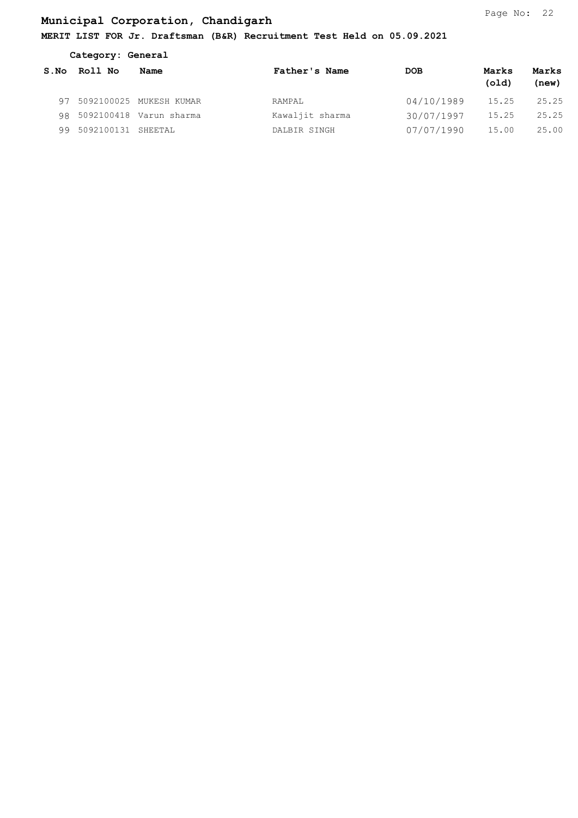### MERIT LIST FOR Jr. Draftsman (B&R) Recruitment Test Held on 05.09.2021

| Category: General |            |                            |                 |            |                |                |
|-------------------|------------|----------------------------|-----------------|------------|----------------|----------------|
| S.NO              | Roll No    | Name                       | Father's Name   | <b>DOB</b> | Marks<br>(old) | Marks<br>(new) |
|                   |            | 97 5092100025 MUKESH KUMAR | RAMPAL          | 04/10/1989 | 15.25          | 25.25          |
|                   |            | 98 5092100418 Varun sharma | Kawaljit sharma | 30/07/1997 | 15.25          | 25.25          |
| 99                | 5092100131 | SHEETAL                    | DALBIR SINGH    | 07/07/1990 | 15.00          | 25.00          |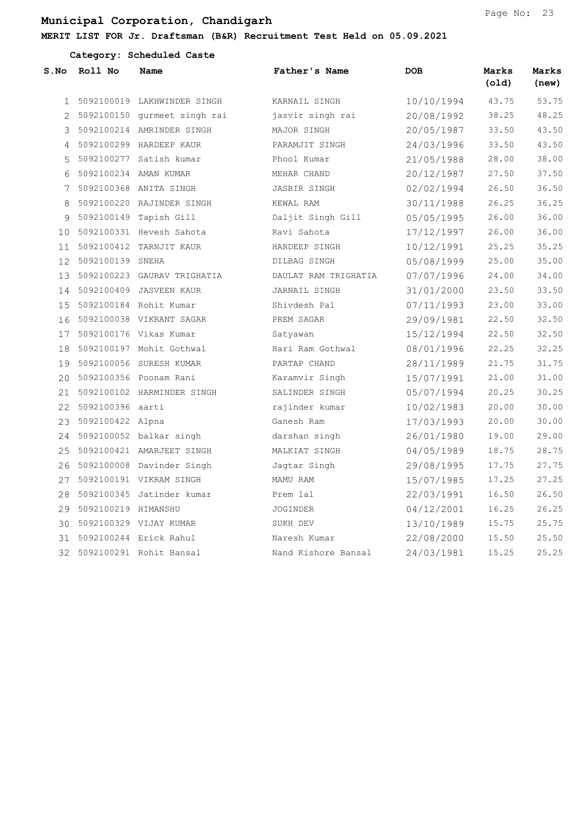| Category: Scheduled Caste |                        |                               |                      |            |                |                |  |  |
|---------------------------|------------------------|-------------------------------|----------------------|------------|----------------|----------------|--|--|
| S.NO                      | Roll No                | Name                          | Father's Name        | <b>DOB</b> | Marks<br>(old) | Marks<br>(new) |  |  |
|                           |                        | 1 5092100019 LAKHWINDER SINGH | KARNAIL SINGH        | 10/10/1994 | 43.75          | 53.75          |  |  |
|                           |                        | 5092100150 gurmeet singh rai  | jasvir singh rai     | 20/08/1992 | 38.25          | 48.25          |  |  |
| 3                         |                        | 5092100214 AMRINDER SINGH     | MAJOR SINGH          | 20/05/1987 | 33.50          | 43.50          |  |  |
| 4                         |                        | 5092100299 HARDEEP KAUR       | PARAMJIT SINGH       | 24/03/1996 | 33.50          | 43.50          |  |  |
| 5                         |                        | 5092100277 Satish kumar       | Phool Kumar          | 21/05/1988 | 28.00          | 38.00          |  |  |
| 6                         |                        | 5092100234 AMAN KUMAR         | MEHAR CHAND          | 20/12/1987 | 27.50          | 37.50          |  |  |
| 7                         |                        | 5092100368 ANITA SINGH        | JASBIR SINGH         | 02/02/1994 | 26.50          | 36.50          |  |  |
| 8                         |                        | 5092100220 RAJINDER SINGH     | KEWAL RAM            | 30/11/1988 | 26.25          | 36.25          |  |  |
| 9                         |                        | 5092100149 Tapish Gill        | Daljit Singh Gill    | 05/05/1995 | 26.00          | 36.00          |  |  |
| 10                        |                        | 5092100331 Hevesh Sahota      | Ravi Sahota          | 17/12/1997 | 26.00          | 36.00          |  |  |
| 11                        |                        | 5092100412 TARNJIT KAUR       | HARDEEP SINGH        | 10/12/1991 | 25.25          | 35.25          |  |  |
| 12                        | 5092100139 SNEHA       |                               | DILBAG SINGH         | 05/08/1999 | 25.00          | 35.00          |  |  |
| 13                        |                        | 5092100223 GAURAV TRIGHATIA   | DAULAT RAM TRIGHATIA | 07/07/1996 | 24.00          | 34.00          |  |  |
| 14                        |                        | 5092100409 JASVEEN KAUR       | JARNAIL SINGH        | 31/01/2000 | 23.50          | 33.50          |  |  |
| 15                        |                        | 5092100184 Rohit Kumar        | Shivdesh Pal         | 07/11/1993 | 23.00          | 33.00          |  |  |
| 16                        |                        | 5092100038 VIKRANT SAGAR      | PREM SAGAR           | 29/09/1981 | 22.50          | 32.50          |  |  |
| 17                        |                        | 5092100176 Vikas Kumar        | Satyawan             | 15/12/1994 | 22.50          | 32.50          |  |  |
| 18                        |                        | 5092100197 Mohit Gothwal      | Hari Ram Gothwal     | 08/01/1996 | 22.25          | 32.25          |  |  |
| 19                        |                        | 5092100056 SURESH KUMAR       | PARTAP CHAND         | 28/11/1989 | 21.75          | 31.75          |  |  |
| 20                        |                        | 5092100356 Poonam Rani        | Karamvir Singh       | 15/07/1991 | 21.00          | 31.00          |  |  |
| 21                        |                        | 5092100102 HARMINDER SINGH    | SALINDER SINGH       | 05/07/1994 | 20.25          | 30.25          |  |  |
| 22                        | 5092100396 aarti       |                               | rajinder kumar       | 10/02/1983 | 20.00          | 30.00          |  |  |
| 23                        | 5092100422 Alpna       |                               | Ganesh Ram           | 17/03/1993 | 20.00          | 30.00          |  |  |
| 24                        |                        | 5092100052 balkar singh       | darshan singh        | 26/01/1980 | 19.00          | 29.00          |  |  |
| 25                        |                        | 5092100421 AMARJEET SINGH     | MALKIAT SINGH        | 04/05/1989 | 18.75          | 28.75          |  |  |
|                           |                        | 26 5092100008 Davinder Singh  | Jagtar Singh         | 29/08/1995 | 17.75          | 27.75          |  |  |
| 27                        |                        | 5092100191 VIKRAM SINGH       | MAMU RAM             | 15/07/1985 | 17.25          | 27.25          |  |  |
|                           |                        | 28 5092100345 Jatinder kumar  | Prem lal             | 22/03/1991 | 16.50          | 26.50          |  |  |
|                           | 29 5092100219 HIMANSHU |                               | JOGINDER             | 04/12/2001 | 16.25          | 26.25          |  |  |
|                           |                        | 30 5092100329 VIJAY KUMAR     | SUKH DEV             | 13/10/1989 | 15.75          | 25.75          |  |  |
|                           |                        | 31 5092100244 Erick Rahul     | Naresh Kumar         | 22/08/2000 | 15.50          | 25.50          |  |  |
|                           |                        | 32 5092100291 Rohit Bansal    | Nand Kishore Bansal  | 24/03/1981 | 15.25          | 25.25          |  |  |